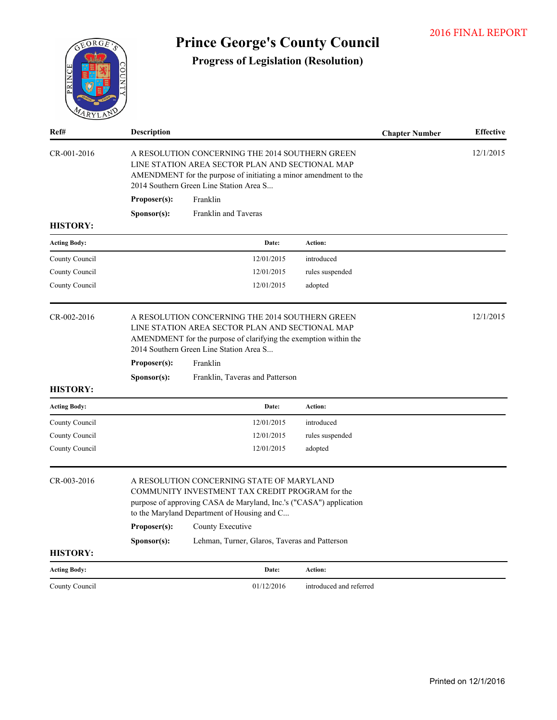| EORGE               | <b>Prince George's County Council</b> |                                                                                                                                                                                                                               |                         |                       |                  |  |  |
|---------------------|---------------------------------------|-------------------------------------------------------------------------------------------------------------------------------------------------------------------------------------------------------------------------------|-------------------------|-----------------------|------------------|--|--|
| 1 R Y L             |                                       | <b>Progress of Legislation (Resolution)</b>                                                                                                                                                                                   |                         |                       |                  |  |  |
| Ref#                | <b>Description</b>                    |                                                                                                                                                                                                                               |                         | <b>Chapter Number</b> | <b>Effective</b> |  |  |
| CR-001-2016         |                                       | A RESOLUTION CONCERNING THE 2014 SOUTHERN GREEN<br>LINE STATION AREA SECTOR PLAN AND SECTIONAL MAP<br>AMENDMENT for the purpose of initiating a minor amendment to the<br>2014 Southern Green Line Station Area S             |                         |                       | 12/1/2015        |  |  |
|                     | Proposer(s):                          | Franklin                                                                                                                                                                                                                      |                         |                       |                  |  |  |
| <b>HISTORY:</b>     | Sponsor(s):                           | Franklin and Taveras                                                                                                                                                                                                          |                         |                       |                  |  |  |
| <b>Acting Body:</b> |                                       | Date:                                                                                                                                                                                                                         | Action:                 |                       |                  |  |  |
| County Council      |                                       | 12/01/2015                                                                                                                                                                                                                    | introduced              |                       |                  |  |  |
| County Council      |                                       | 12/01/2015                                                                                                                                                                                                                    | rules suspended         |                       |                  |  |  |
| County Council      |                                       | 12/01/2015                                                                                                                                                                                                                    | adopted                 |                       |                  |  |  |
| CR-002-2016         | Proposer(s):                          | A RESOLUTION CONCERNING THE 2014 SOUTHERN GREEN<br>LINE STATION AREA SECTOR PLAN AND SECTIONAL MAP<br>AMENDMENT for the purpose of clarifying the exemption within the<br>2014 Southern Green Line Station Area S<br>Franklin |                         |                       | 12/1/2015        |  |  |
|                     |                                       | Franklin, Taveras and Patterson                                                                                                                                                                                               |                         |                       |                  |  |  |
| <b>HISTORY:</b>     | Sponsor(s):                           |                                                                                                                                                                                                                               |                         |                       |                  |  |  |
| <b>Acting Body:</b> |                                       | Date:                                                                                                                                                                                                                         | <b>Action:</b>          |                       |                  |  |  |
| County Council      |                                       | 12/01/2015                                                                                                                                                                                                                    | introduced              |                       |                  |  |  |
| County Council      |                                       | 12/01/2015                                                                                                                                                                                                                    | rules suspended         |                       |                  |  |  |
| County Council      |                                       | 12/01/2015                                                                                                                                                                                                                    | adopted                 |                       |                  |  |  |
| CR-003-2016         |                                       | A RESOLUTION CONCERNING STATE OF MARYLAND<br>COMMUNITY INVESTMENT TAX CREDIT PROGRAM for the<br>purpose of approving CASA de Maryland, Inc.'s ("CASA") application<br>to the Maryland Department of Housing and C             |                         |                       |                  |  |  |
|                     | Proposer(s):                          | County Executive                                                                                                                                                                                                              |                         |                       |                  |  |  |
|                     | Sponsor(s):                           | Lehman, Turner, Glaros, Taveras and Patterson                                                                                                                                                                                 |                         |                       |                  |  |  |
| <b>HISTORY:</b>     |                                       |                                                                                                                                                                                                                               |                         |                       |                  |  |  |
| <b>Acting Body:</b> |                                       | Date:                                                                                                                                                                                                                         | Action:                 |                       |                  |  |  |
| County Council      |                                       | 01/12/2016                                                                                                                                                                                                                    | introduced and referred |                       |                  |  |  |

2016 FINAL REPORT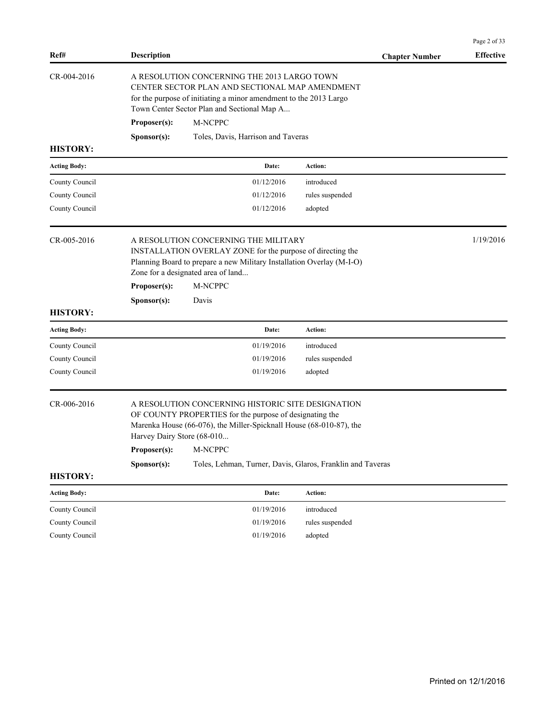|                     |                                                                                                                                                                                                                                                                                                                           |                                                                                                                                                                                                                   |                 |                       | Page 2 of 33     |
|---------------------|---------------------------------------------------------------------------------------------------------------------------------------------------------------------------------------------------------------------------------------------------------------------------------------------------------------------------|-------------------------------------------------------------------------------------------------------------------------------------------------------------------------------------------------------------------|-----------------|-----------------------|------------------|
| Ref#                | <b>Description</b>                                                                                                                                                                                                                                                                                                        |                                                                                                                                                                                                                   |                 | <b>Chapter Number</b> | <b>Effective</b> |
| CR-004-2016         |                                                                                                                                                                                                                                                                                                                           | A RESOLUTION CONCERNING THE 2013 LARGO TOWN<br>CENTER SECTOR PLAN AND SECTIONAL MAP AMENDMENT<br>for the purpose of initiating a minor amendment to the 2013 Largo<br>Town Center Sector Plan and Sectional Map A |                 |                       |                  |
|                     | Proposer(s):                                                                                                                                                                                                                                                                                                              | M-NCPPC                                                                                                                                                                                                           |                 |                       |                  |
|                     | Sponsor(s):                                                                                                                                                                                                                                                                                                               | Toles, Davis, Harrison and Taveras                                                                                                                                                                                |                 |                       |                  |
| <b>HISTORY:</b>     |                                                                                                                                                                                                                                                                                                                           |                                                                                                                                                                                                                   |                 |                       |                  |
| <b>Acting Body:</b> |                                                                                                                                                                                                                                                                                                                           | Date:                                                                                                                                                                                                             | Action:         |                       |                  |
| County Council      |                                                                                                                                                                                                                                                                                                                           | 01/12/2016                                                                                                                                                                                                        | introduced      |                       |                  |
| County Council      |                                                                                                                                                                                                                                                                                                                           | 01/12/2016                                                                                                                                                                                                        | rules suspended |                       |                  |
| County Council      |                                                                                                                                                                                                                                                                                                                           | 01/12/2016                                                                                                                                                                                                        | adopted         |                       |                  |
| CR-005-2016         | A RESOLUTION CONCERNING THE MILITARY<br>INSTALLATION OVERLAY ZONE for the purpose of directing the<br>Planning Board to prepare a new Military Installation Overlay (M-I-O)<br>Zone for a designated area of land                                                                                                         |                                                                                                                                                                                                                   |                 |                       | 1/19/2016        |
|                     | Proposer(s):                                                                                                                                                                                                                                                                                                              | M-NCPPC                                                                                                                                                                                                           |                 |                       |                  |
|                     | Sponsor(s):                                                                                                                                                                                                                                                                                                               | Davis                                                                                                                                                                                                             |                 |                       |                  |
| <b>HISTORY:</b>     |                                                                                                                                                                                                                                                                                                                           |                                                                                                                                                                                                                   |                 |                       |                  |
| <b>Acting Body:</b> |                                                                                                                                                                                                                                                                                                                           | Date:                                                                                                                                                                                                             | Action:         |                       |                  |
| County Council      |                                                                                                                                                                                                                                                                                                                           | 01/19/2016                                                                                                                                                                                                        | introduced      |                       |                  |
| County Council      |                                                                                                                                                                                                                                                                                                                           | 01/19/2016                                                                                                                                                                                                        | rules suspended |                       |                  |
| County Council      |                                                                                                                                                                                                                                                                                                                           | 01/19/2016                                                                                                                                                                                                        | adopted         |                       |                  |
| CR-006-2016         | A RESOLUTION CONCERNING HISTORIC SITE DESIGNATION<br>OF COUNTY PROPERTIES for the purpose of designating the<br>Marenka House (66-076), the Miller-Spicknall House (68-010-87), the<br>Harvey Dairy Store (68-010<br>M-NCPPC<br>Proposer(s):<br>Sponsor(s):<br>Toles, Lehman, Turner, Davis, Glaros, Franklin and Taveras |                                                                                                                                                                                                                   |                 |                       |                  |
| <b>HISTORY:</b>     |                                                                                                                                                                                                                                                                                                                           |                                                                                                                                                                                                                   |                 |                       |                  |
| <b>Acting Body:</b> |                                                                                                                                                                                                                                                                                                                           | Date:                                                                                                                                                                                                             | Action:         |                       |                  |
| County Council      |                                                                                                                                                                                                                                                                                                                           | 01/19/2016                                                                                                                                                                                                        | introduced      |                       |                  |
| County Council      |                                                                                                                                                                                                                                                                                                                           | 01/19/2016                                                                                                                                                                                                        | rules suspended |                       |                  |
| County Council      |                                                                                                                                                                                                                                                                                                                           | 01/19/2016                                                                                                                                                                                                        | adopted         |                       |                  |
|                     |                                                                                                                                                                                                                                                                                                                           |                                                                                                                                                                                                                   |                 |                       |                  |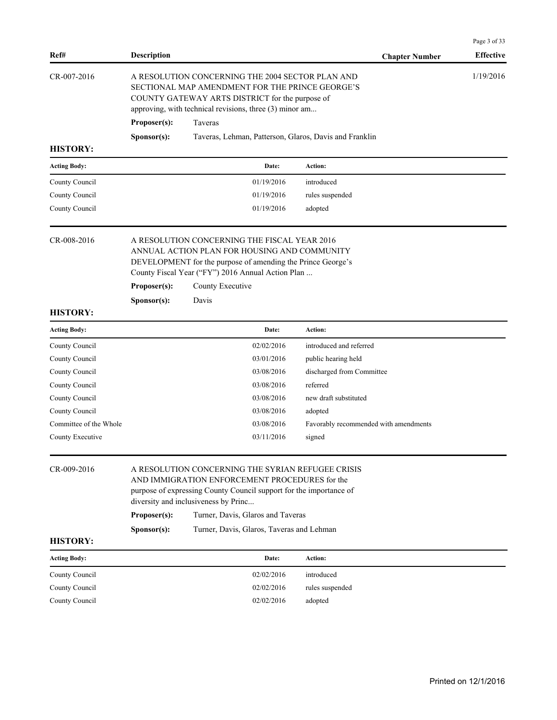| Ref#                   | Description                                                                                                                                                                                                                                                            |                                                                   | <b>Chapter Number</b>                 | Page 3 of 33<br><b>Effective</b> |
|------------------------|------------------------------------------------------------------------------------------------------------------------------------------------------------------------------------------------------------------------------------------------------------------------|-------------------------------------------------------------------|---------------------------------------|----------------------------------|
| CR-007-2016            | A RESOLUTION CONCERNING THE 2004 SECTOR PLAN AND<br>SECTIONAL MAP AMENDMENT FOR THE PRINCE GEORGE'S<br>COUNTY GATEWAY ARTS DISTRICT for the purpose of<br>approving, with technical revisions, three (3) minor am                                                      |                                                                   |                                       | 1/19/2016                        |
|                        | Proposer(s):<br>Sponsor(s):                                                                                                                                                                                                                                            | Taveras<br>Taveras, Lehman, Patterson, Glaros, Davis and Franklin |                                       |                                  |
| <b>HISTORY:</b>        |                                                                                                                                                                                                                                                                        |                                                                   |                                       |                                  |
| <b>Acting Body:</b>    |                                                                                                                                                                                                                                                                        | Date:                                                             | Action:                               |                                  |
| County Council         |                                                                                                                                                                                                                                                                        | 01/19/2016                                                        | introduced                            |                                  |
| County Council         |                                                                                                                                                                                                                                                                        | 01/19/2016                                                        | rules suspended                       |                                  |
| County Council         |                                                                                                                                                                                                                                                                        | 01/19/2016                                                        | adopted                               |                                  |
| CR-008-2016            | A RESOLUTION CONCERNING THE FISCAL YEAR 2016<br>ANNUAL ACTION PLAN FOR HOUSING AND COMMUNITY<br>DEVELOPMENT for the purpose of amending the Prince George's<br>County Fiscal Year ("FY") 2016 Annual Action Plan<br>County Executive<br>Proposer(s):                   |                                                                   |                                       |                                  |
| <b>HISTORY:</b>        | Sponsor(s):                                                                                                                                                                                                                                                            | Davis                                                             |                                       |                                  |
| <b>Acting Body:</b>    |                                                                                                                                                                                                                                                                        | Date:                                                             | Action:                               |                                  |
| County Council         |                                                                                                                                                                                                                                                                        | 02/02/2016                                                        | introduced and referred               |                                  |
| County Council         |                                                                                                                                                                                                                                                                        | 03/01/2016                                                        | public hearing held                   |                                  |
| County Council         |                                                                                                                                                                                                                                                                        | 03/08/2016                                                        | discharged from Committee             |                                  |
| County Council         |                                                                                                                                                                                                                                                                        | 03/08/2016                                                        | referred                              |                                  |
| County Council         |                                                                                                                                                                                                                                                                        | 03/08/2016                                                        | new draft substituted                 |                                  |
| County Council         |                                                                                                                                                                                                                                                                        | 03/08/2016                                                        | adopted                               |                                  |
| Committee of the Whole |                                                                                                                                                                                                                                                                        | 03/08/2016                                                        | Favorably recommended with amendments |                                  |
| County Executive       |                                                                                                                                                                                                                                                                        | 03/11/2016                                                        | signed                                |                                  |
| CR-009-2016            | A RESOLUTION CONCERNING THE SYRIAN REFUGEE CRISIS<br>AND IMMIGRATION ENFORCEMENT PROCEDURES for the<br>purpose of expressing County Council support for the importance of<br>diversity and inclusiveness by Princ<br>Proposer(s):<br>Turner, Davis, Glaros and Taveras |                                                                   |                                       |                                  |
|                        | Sponsor(s):                                                                                                                                                                                                                                                            | Turner, Davis, Glaros, Taveras and Lehman                         |                                       |                                  |
| <b>HISTORY:</b>        |                                                                                                                                                                                                                                                                        |                                                                   |                                       |                                  |
| <b>Acting Body:</b>    |                                                                                                                                                                                                                                                                        | Date:                                                             | Action:                               |                                  |
| County Council         |                                                                                                                                                                                                                                                                        | 02/02/2016                                                        | introduced                            |                                  |
| County Council         |                                                                                                                                                                                                                                                                        | 02/02/2016                                                        | rules suspended                       |                                  |
| County Council         |                                                                                                                                                                                                                                                                        | 02/02/2016                                                        | adopted                               |                                  |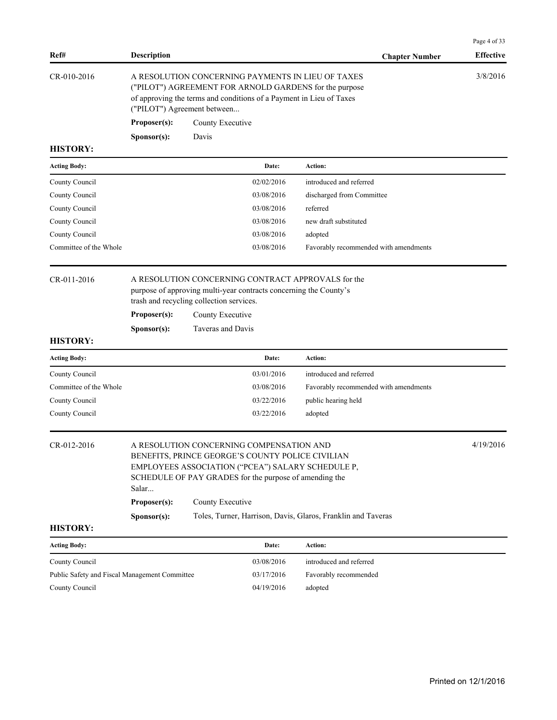| Ref#                                          | <b>Description</b>                                                                                                                                                                                                   |                                                              |                                                                   | <b>Chapter Number</b>                                        | <b>Effective</b> |
|-----------------------------------------------|----------------------------------------------------------------------------------------------------------------------------------------------------------------------------------------------------------------------|--------------------------------------------------------------|-------------------------------------------------------------------|--------------------------------------------------------------|------------------|
| CR-010-2016                                   | A RESOLUTION CONCERNING PAYMENTS IN LIEU OF TAXES<br>("PILOT") AGREEMENT FOR ARNOLD GARDENS for the purpose<br>of approving the terms and conditions of a Payment in Lieu of Taxes<br>("PILOT") Agreement between    |                                                              |                                                                   |                                                              | 3/8/2016         |
|                                               | Proposer(s):                                                                                                                                                                                                         | County Executive                                             |                                                                   |                                                              |                  |
|                                               | Sponsor(s):                                                                                                                                                                                                          | Davis                                                        |                                                                   |                                                              |                  |
| <b>HISTORY:</b>                               |                                                                                                                                                                                                                      |                                                              |                                                                   |                                                              |                  |
| <b>Acting Body:</b>                           |                                                                                                                                                                                                                      |                                                              | Date:                                                             | <b>Action:</b>                                               |                  |
| County Council                                |                                                                                                                                                                                                                      |                                                              | 02/02/2016                                                        | introduced and referred                                      |                  |
| County Council                                |                                                                                                                                                                                                                      |                                                              | 03/08/2016                                                        | discharged from Committee                                    |                  |
| County Council                                |                                                                                                                                                                                                                      |                                                              | 03/08/2016                                                        | referred                                                     |                  |
| County Council                                |                                                                                                                                                                                                                      |                                                              | 03/08/2016                                                        | new draft substituted                                        |                  |
| County Council                                |                                                                                                                                                                                                                      |                                                              | 03/08/2016                                                        | adopted                                                      |                  |
| Committee of the Whole                        |                                                                                                                                                                                                                      |                                                              | 03/08/2016                                                        | Favorably recommended with amendments                        |                  |
| CR-011-2016                                   | Proposer(s):                                                                                                                                                                                                         | trash and recycling collection services.<br>County Executive | purpose of approving multi-year contracts concerning the County's | A RESOLUTION CONCERNING CONTRACT APPROVALS for the           |                  |
|                                               | Sponsor(s):                                                                                                                                                                                                          | Taveras and Davis                                            |                                                                   |                                                              |                  |
| <b>HISTORY:</b>                               |                                                                                                                                                                                                                      |                                                              |                                                                   |                                                              |                  |
| <b>Acting Body:</b>                           |                                                                                                                                                                                                                      |                                                              | Date:                                                             | Action:                                                      |                  |
| County Council                                |                                                                                                                                                                                                                      |                                                              | 03/01/2016                                                        | introduced and referred                                      |                  |
| Committee of the Whole                        |                                                                                                                                                                                                                      |                                                              | 03/08/2016                                                        | Favorably recommended with amendments                        |                  |
| County Council                                |                                                                                                                                                                                                                      |                                                              | 03/22/2016                                                        | public hearing held                                          |                  |
| County Council                                |                                                                                                                                                                                                                      |                                                              | 03/22/2016                                                        | adopted                                                      |                  |
| CR-012-2016                                   | A RESOLUTION CONCERNING COMPENSATION AND<br>BENEFITS, PRINCE GEORGE'S COUNTY POLICE CIVILIAN<br>EMPLOYEES ASSOCIATION ("PCEA") SALARY SCHEDULE P,<br>SCHEDULE OF PAY GRADES for the purpose of amending the<br>Salar |                                                              |                                                                   | 4/19/2016                                                    |                  |
|                                               | Proposer(s):                                                                                                                                                                                                         | County Executive                                             |                                                                   |                                                              |                  |
|                                               | Sponsor(s):                                                                                                                                                                                                          |                                                              |                                                                   | Toles, Turner, Harrison, Davis, Glaros, Franklin and Taveras |                  |
| <b>HISTORY:</b>                               |                                                                                                                                                                                                                      |                                                              |                                                                   |                                                              |                  |
| <b>Acting Body:</b>                           |                                                                                                                                                                                                                      |                                                              | Date:                                                             | Action:                                                      |                  |
| County Council                                |                                                                                                                                                                                                                      |                                                              | 03/08/2016                                                        | introduced and referred                                      |                  |
| Public Safety and Fiscal Management Committee |                                                                                                                                                                                                                      |                                                              | 03/17/2016                                                        | Favorably recommended                                        |                  |

Page 4 of 33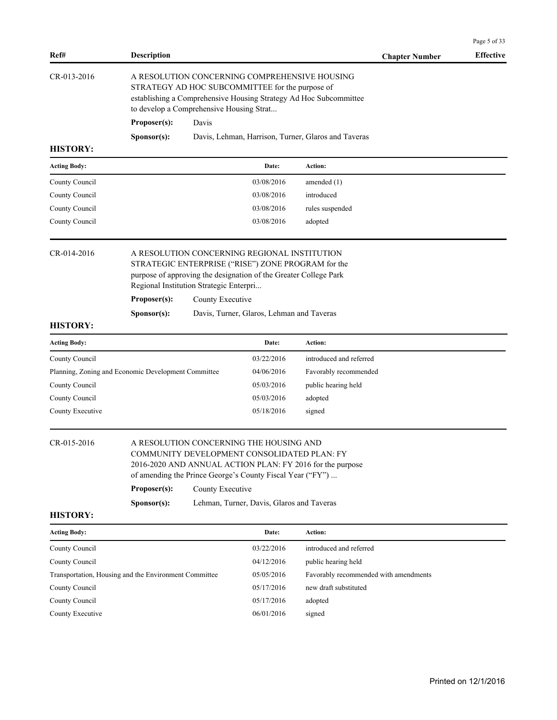| Ref#                           | <b>Description</b>                                    |                                                                                                                                                                                                                                                                                   |                                           | <b>Chapter Number</b>                               | <b>Effective</b> |
|--------------------------------|-------------------------------------------------------|-----------------------------------------------------------------------------------------------------------------------------------------------------------------------------------------------------------------------------------------------------------------------------------|-------------------------------------------|-----------------------------------------------------|------------------|
| CR-013-2016                    |                                                       | A RESOLUTION CONCERNING COMPREHENSIVE HOUSING<br>STRATEGY AD HOC SUBCOMMITTEE for the purpose of<br>establishing a Comprehensive Housing Strategy Ad Hoc Subcommittee<br>to develop a Comprehensive Housing Strat                                                                 |                                           |                                                     |                  |
|                                | Proposer(s):                                          | Davis                                                                                                                                                                                                                                                                             |                                           |                                                     |                  |
|                                | Sponsor(s):                                           |                                                                                                                                                                                                                                                                                   |                                           | Davis, Lehman, Harrison, Turner, Glaros and Taveras |                  |
| <b>HISTORY:</b>                |                                                       |                                                                                                                                                                                                                                                                                   |                                           |                                                     |                  |
| <b>Acting Body:</b>            |                                                       |                                                                                                                                                                                                                                                                                   | Date:                                     | Action:                                             |                  |
| County Council                 |                                                       |                                                                                                                                                                                                                                                                                   | 03/08/2016                                | amended $(1)$                                       |                  |
| County Council                 |                                                       |                                                                                                                                                                                                                                                                                   | 03/08/2016                                | introduced                                          |                  |
| County Council                 |                                                       |                                                                                                                                                                                                                                                                                   | 03/08/2016                                | rules suspended                                     |                  |
| County Council                 |                                                       |                                                                                                                                                                                                                                                                                   | 03/08/2016                                | adopted                                             |                  |
| CR-014-2016                    | Proposer(s):                                          | A RESOLUTION CONCERNING REGIONAL INSTITUTION<br>STRATEGIC ENTERPRISE ("RISE") ZONE PROGRAM for the<br>purpose of approving the designation of the Greater College Park<br>Regional Institution Strategic Enterpri<br>County Executive                                             |                                           |                                                     |                  |
|                                | Sponsor(s):                                           |                                                                                                                                                                                                                                                                                   | Davis, Turner, Glaros, Lehman and Taveras |                                                     |                  |
| <b>HISTORY:</b>                |                                                       |                                                                                                                                                                                                                                                                                   |                                           |                                                     |                  |
| <b>Acting Body:</b>            |                                                       |                                                                                                                                                                                                                                                                                   | Date:                                     | Action:                                             |                  |
| County Council                 |                                                       |                                                                                                                                                                                                                                                                                   | 03/22/2016                                | introduced and referred                             |                  |
|                                | Planning, Zoning and Economic Development Committee   |                                                                                                                                                                                                                                                                                   | 04/06/2016                                | Favorably recommended                               |                  |
| County Council                 |                                                       |                                                                                                                                                                                                                                                                                   | 05/03/2016                                | public hearing held                                 |                  |
| County Council                 |                                                       |                                                                                                                                                                                                                                                                                   | 05/03/2016                                | adopted                                             |                  |
| County Executive               |                                                       |                                                                                                                                                                                                                                                                                   | 05/18/2016                                | signed                                              |                  |
| CR-015-2016<br><b>HISTORY:</b> | Proposer(s):<br>S <b>p</b> onsor(s):                  | A RESOLUTION CONCERNING THE HOUSING AND<br>COMMUNITY DEVELOPMENT CONSOLIDATED PLAN: FY<br>2016-2020 AND ANNUAL ACTION PLAN: FY 2016 for the purpose<br>of amending the Prince George's County Fiscal Year ("FY")<br>County Executive<br>Lehman, Turner, Davis, Glaros and Taveras |                                           |                                                     |                  |
|                                |                                                       |                                                                                                                                                                                                                                                                                   | Date:                                     | Action:                                             |                  |
| <b>Acting Body:</b>            |                                                       |                                                                                                                                                                                                                                                                                   | 03/22/2016                                | introduced and referred                             |                  |
| County Council                 |                                                       |                                                                                                                                                                                                                                                                                   | 04/12/2016                                |                                                     |                  |
| County Council                 |                                                       |                                                                                                                                                                                                                                                                                   |                                           | public hearing held                                 |                  |
|                                | Transportation, Housing and the Environment Committee |                                                                                                                                                                                                                                                                                   | 05/05/2016                                | Favorably recommended with amendments               |                  |
| County Council                 |                                                       |                                                                                                                                                                                                                                                                                   | 05/17/2016                                | new draft substituted                               |                  |
| County Council                 |                                                       |                                                                                                                                                                                                                                                                                   | 05/17/2016                                | adopted                                             |                  |
| County Executive               |                                                       |                                                                                                                                                                                                                                                                                   | 06/01/2016                                | signed                                              |                  |

Page 5 of 33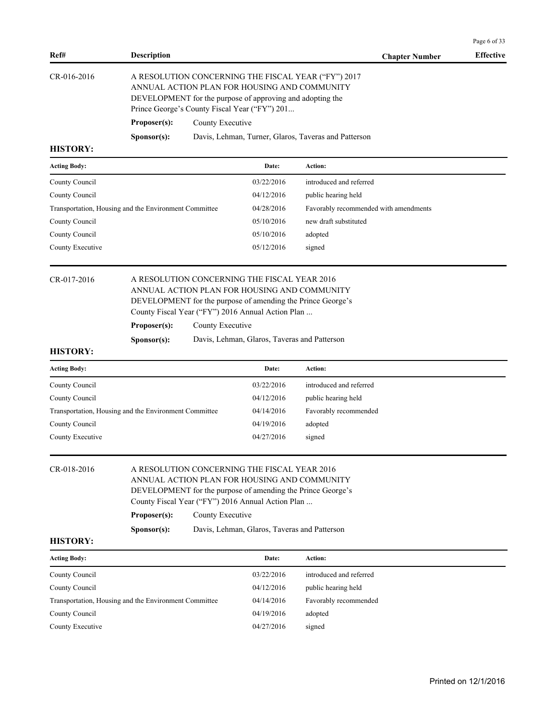| Ref#                                                  | <b>Description</b>                                                                                                                                                                                                                                                                                                  |                                                                                                                                                                                                                   |            | <b>Chapter Number</b>                                | <b>Effective</b> |  |  |
|-------------------------------------------------------|---------------------------------------------------------------------------------------------------------------------------------------------------------------------------------------------------------------------------------------------------------------------------------------------------------------------|-------------------------------------------------------------------------------------------------------------------------------------------------------------------------------------------------------------------|------------|------------------------------------------------------|------------------|--|--|
| CR-016-2016                                           |                                                                                                                                                                                                                                                                                                                     | A RESOLUTION CONCERNING THE FISCAL YEAR ("FY") 2017<br>ANNUAL ACTION PLAN FOR HOUSING AND COMMUNITY<br>DEVELOPMENT for the purpose of approving and adopting the<br>Prince George's County Fiscal Year ("FY") 201 |            |                                                      |                  |  |  |
|                                                       | Proposer(s):                                                                                                                                                                                                                                                                                                        | County Executive                                                                                                                                                                                                  |            |                                                      |                  |  |  |
|                                                       | Sponsor(s):                                                                                                                                                                                                                                                                                                         |                                                                                                                                                                                                                   |            | Davis, Lehman, Turner, Glaros, Taveras and Patterson |                  |  |  |
| <b>HISTORY:</b>                                       |                                                                                                                                                                                                                                                                                                                     |                                                                                                                                                                                                                   |            |                                                      |                  |  |  |
| <b>Acting Body:</b>                                   |                                                                                                                                                                                                                                                                                                                     |                                                                                                                                                                                                                   | Date:      | <b>Action:</b>                                       |                  |  |  |
| County Council                                        |                                                                                                                                                                                                                                                                                                                     |                                                                                                                                                                                                                   | 03/22/2016 | introduced and referred                              |                  |  |  |
| County Council                                        |                                                                                                                                                                                                                                                                                                                     |                                                                                                                                                                                                                   | 04/12/2016 | public hearing held                                  |                  |  |  |
| Transportation, Housing and the Environment Committee |                                                                                                                                                                                                                                                                                                                     |                                                                                                                                                                                                                   | 04/28/2016 | Favorably recommended with amendments                |                  |  |  |
| County Council                                        |                                                                                                                                                                                                                                                                                                                     |                                                                                                                                                                                                                   | 05/10/2016 | new draft substituted                                |                  |  |  |
| County Council                                        |                                                                                                                                                                                                                                                                                                                     |                                                                                                                                                                                                                   | 05/10/2016 | adopted                                              |                  |  |  |
| County Executive                                      |                                                                                                                                                                                                                                                                                                                     |                                                                                                                                                                                                                   | 05/12/2016 | signed                                               |                  |  |  |
| CR-017-2016<br><b>HISTORY:</b>                        | A RESOLUTION CONCERNING THE FISCAL YEAR 2016<br>ANNUAL ACTION PLAN FOR HOUSING AND COMMUNITY<br>DEVELOPMENT for the purpose of amending the Prince George's<br>County Fiscal Year ("FY") 2016 Annual Action Plan<br>County Executive<br>Proposer(s):<br>Sponsor(s):<br>Davis, Lehman, Glaros, Taveras and Patterson |                                                                                                                                                                                                                   |            |                                                      |                  |  |  |
| <b>Acting Body:</b>                                   |                                                                                                                                                                                                                                                                                                                     |                                                                                                                                                                                                                   | Date:      | Action:                                              |                  |  |  |
| County Council                                        |                                                                                                                                                                                                                                                                                                                     |                                                                                                                                                                                                                   | 03/22/2016 | introduced and referred                              |                  |  |  |
| County Council                                        |                                                                                                                                                                                                                                                                                                                     |                                                                                                                                                                                                                   | 04/12/2016 | public hearing held                                  |                  |  |  |
|                                                       | Transportation, Housing and the Environment Committee                                                                                                                                                                                                                                                               |                                                                                                                                                                                                                   | 04/14/2016 | Favorably recommended                                |                  |  |  |
| County Council                                        |                                                                                                                                                                                                                                                                                                                     |                                                                                                                                                                                                                   | 04/19/2016 | adopted                                              |                  |  |  |
| County Executive                                      |                                                                                                                                                                                                                                                                                                                     |                                                                                                                                                                                                                   | 04/27/2016 | signed                                               |                  |  |  |
| CR-018-2016                                           | A RESOLUTION CONCERNING THE FISCAL YEAR 2016<br>ANNUAL ACTION PLAN FOR HOUSING AND COMMUNITY<br>DEVELOPMENT for the purpose of amending the Prince George's<br>County Fiscal Year ("FY") 2016 Annual Action Plan<br>Proposer(s):<br>County Executive<br>Davis, Lehman, Glaros, Taveras and Patterson<br>Sponsor(s): |                                                                                                                                                                                                                   |            |                                                      |                  |  |  |
| <b>HISTORY:</b>                                       |                                                                                                                                                                                                                                                                                                                     |                                                                                                                                                                                                                   |            |                                                      |                  |  |  |
| <b>Acting Body:</b>                                   |                                                                                                                                                                                                                                                                                                                     |                                                                                                                                                                                                                   | Date:      | Action:                                              |                  |  |  |
| County Council                                        |                                                                                                                                                                                                                                                                                                                     |                                                                                                                                                                                                                   | 03/22/2016 | introduced and referred                              |                  |  |  |
| County Council                                        |                                                                                                                                                                                                                                                                                                                     |                                                                                                                                                                                                                   | 04/12/2016 | public hearing held                                  |                  |  |  |
|                                                       | Transportation, Housing and the Environment Committee                                                                                                                                                                                                                                                               |                                                                                                                                                                                                                   | 04/14/2016 | Favorably recommended                                |                  |  |  |
|                                                       |                                                                                                                                                                                                                                                                                                                     |                                                                                                                                                                                                                   |            |                                                      |                  |  |  |
| County Council                                        |                                                                                                                                                                                                                                                                                                                     |                                                                                                                                                                                                                   | 04/19/2016 | adopted                                              |                  |  |  |
| County Executive                                      |                                                                                                                                                                                                                                                                                                                     |                                                                                                                                                                                                                   | 04/27/2016 | signed                                               |                  |  |  |
|                                                       |                                                                                                                                                                                                                                                                                                                     |                                                                                                                                                                                                                   |            |                                                      |                  |  |  |

Page 6 of 33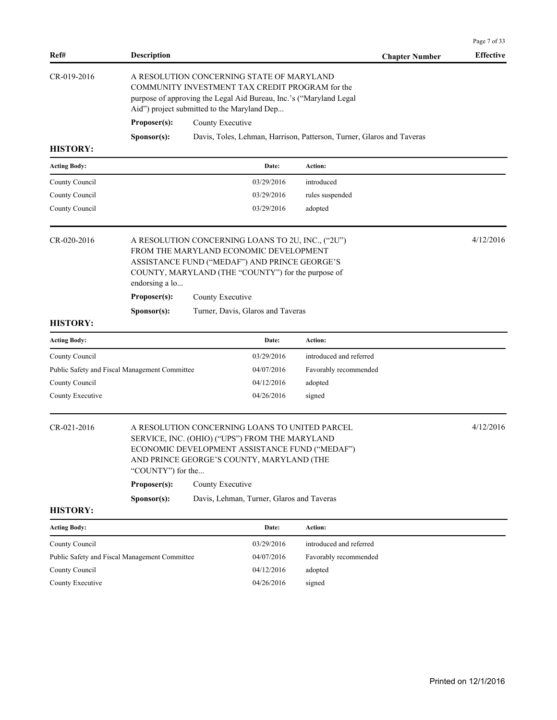|                                                                                                                                                                                                                                     |                    |                                                                                                                                                                                                                      |                                                                       | Page 7 of 33     |  |  |  |
|-------------------------------------------------------------------------------------------------------------------------------------------------------------------------------------------------------------------------------------|--------------------|----------------------------------------------------------------------------------------------------------------------------------------------------------------------------------------------------------------------|-----------------------------------------------------------------------|------------------|--|--|--|
| Ref#                                                                                                                                                                                                                                | <b>Description</b> |                                                                                                                                                                                                                      | <b>Chapter Number</b>                                                 | <b>Effective</b> |  |  |  |
| CR-019-2016                                                                                                                                                                                                                         |                    | A RESOLUTION CONCERNING STATE OF MARYLAND<br>COMMUNITY INVESTMENT TAX CREDIT PROGRAM for the<br>purpose of approving the Legal Aid Bureau, Inc.'s ("Maryland Legal<br>Aid") project submitted to the Maryland Dep    |                                                                       |                  |  |  |  |
|                                                                                                                                                                                                                                     | Proposer(s):       | County Executive                                                                                                                                                                                                     |                                                                       |                  |  |  |  |
|                                                                                                                                                                                                                                     | Sponsor(s):        |                                                                                                                                                                                                                      | Davis, Toles, Lehman, Harrison, Patterson, Turner, Glaros and Taveras |                  |  |  |  |
| <b>HISTORY:</b>                                                                                                                                                                                                                     |                    |                                                                                                                                                                                                                      |                                                                       |                  |  |  |  |
| <b>Acting Body:</b>                                                                                                                                                                                                                 |                    | Date:                                                                                                                                                                                                                | Action:                                                               |                  |  |  |  |
| County Council                                                                                                                                                                                                                      |                    | 03/29/2016                                                                                                                                                                                                           | introduced                                                            |                  |  |  |  |
| County Council                                                                                                                                                                                                                      |                    | 03/29/2016                                                                                                                                                                                                           | rules suspended                                                       |                  |  |  |  |
| County Council                                                                                                                                                                                                                      |                    | 03/29/2016                                                                                                                                                                                                           | adopted                                                               |                  |  |  |  |
| CR-020-2016<br>A RESOLUTION CONCERNING LOANS TO 2U, INC., ("2U")<br>FROM THE MARYLAND ECONOMIC DEVELOPMENT<br>ASSISTANCE FUND ("MEDAF") AND PRINCE GEORGE'S<br>COUNTY, MARYLAND (THE "COUNTY") for the purpose of<br>endorsing a lo |                    |                                                                                                                                                                                                                      |                                                                       | 4/12/2016        |  |  |  |
|                                                                                                                                                                                                                                     | Proposer(s):       | County Executive                                                                                                                                                                                                     |                                                                       |                  |  |  |  |
| <b>HISTORY:</b>                                                                                                                                                                                                                     | Sponsor(s):        | Turner, Davis, Glaros and Taveras                                                                                                                                                                                    |                                                                       |                  |  |  |  |
| <b>Acting Body:</b>                                                                                                                                                                                                                 |                    | Date:                                                                                                                                                                                                                | Action:                                                               |                  |  |  |  |
| County Council                                                                                                                                                                                                                      |                    | 03/29/2016                                                                                                                                                                                                           | introduced and referred                                               |                  |  |  |  |
| Public Safety and Fiscal Management Committee                                                                                                                                                                                       |                    | 04/07/2016                                                                                                                                                                                                           | Favorably recommended                                                 |                  |  |  |  |
| County Council                                                                                                                                                                                                                      |                    | 04/12/2016                                                                                                                                                                                                           | adopted                                                               |                  |  |  |  |
| County Executive                                                                                                                                                                                                                    |                    | 04/26/2016                                                                                                                                                                                                           | signed                                                                |                  |  |  |  |
| CR-021-2016                                                                                                                                                                                                                         |                    | A RESOLUTION CONCERNING LOANS TO UNITED PARCEL<br>SERVICE, INC. (OHIO) ("UPS") FROM THE MARYLAND<br>ECONOMIC DEVELOPMENT ASSISTANCE FUND ("MEDAF")<br>AND PRINCE GEORGE'S COUNTY, MARYLAND (THE<br>"COUNTY") for the |                                                                       |                  |  |  |  |
|                                                                                                                                                                                                                                     | Proposer(s):       | County Executive                                                                                                                                                                                                     |                                                                       |                  |  |  |  |
|                                                                                                                                                                                                                                     | Sponsor(s):        | Davis, Lehman, Turner, Glaros and Taveras                                                                                                                                                                            |                                                                       |                  |  |  |  |
| <b>HISTORY:</b>                                                                                                                                                                                                                     |                    |                                                                                                                                                                                                                      |                                                                       |                  |  |  |  |
| <b>Acting Body:</b>                                                                                                                                                                                                                 |                    | Date:                                                                                                                                                                                                                | Action:                                                               |                  |  |  |  |
| County Council                                                                                                                                                                                                                      |                    | 03/29/2016                                                                                                                                                                                                           | introduced and referred                                               |                  |  |  |  |
| Public Safety and Fiscal Management Committee                                                                                                                                                                                       |                    | 04/07/2016                                                                                                                                                                                                           | Favorably recommended                                                 |                  |  |  |  |
| County Council                                                                                                                                                                                                                      |                    | 04/12/2016                                                                                                                                                                                                           | adopted                                                               |                  |  |  |  |
| County Executive                                                                                                                                                                                                                    |                    | 04/26/2016                                                                                                                                                                                                           | signed                                                                |                  |  |  |  |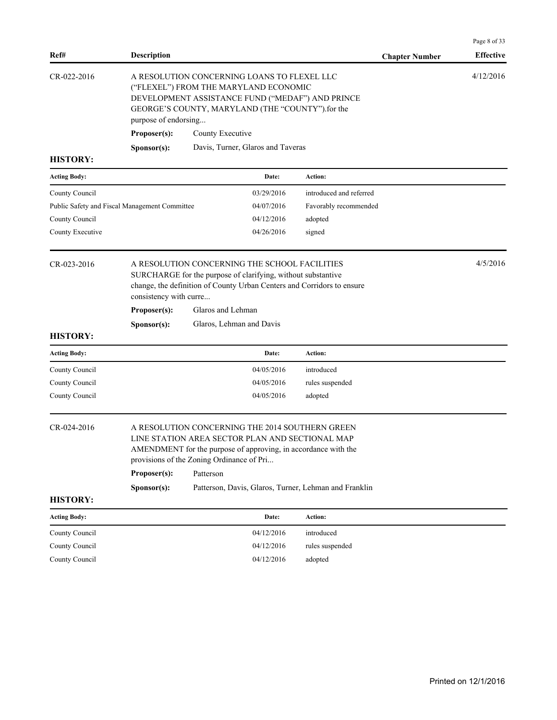| Ref#                                                 | <b>Description</b>                                                                                                                                                                                                                                                                                                              |                                                      | <b>Chapter Number</b>                                                 | Page 8 of 33<br><b>Effective</b> |
|------------------------------------------------------|---------------------------------------------------------------------------------------------------------------------------------------------------------------------------------------------------------------------------------------------------------------------------------------------------------------------------------|------------------------------------------------------|-----------------------------------------------------------------------|----------------------------------|
| CR-022-2016                                          | A RESOLUTION CONCERNING LOANS TO FLEXEL LLC<br>("FLEXEL") FROM THE MARYLAND ECONOMIC<br>DEVELOPMENT ASSISTANCE FUND ("MEDAF") AND PRINCE<br>GEORGE'S COUNTY, MARYLAND (THE "COUNTY").for the<br>purpose of endorsing<br>County Executive<br>Proposer(s):                                                                        |                                                      |                                                                       |                                  |
| <b>HISTORY:</b>                                      | Sponsor(s):                                                                                                                                                                                                                                                                                                                     | Davis, Turner, Glaros and Taveras                    |                                                                       |                                  |
| <b>Acting Body:</b>                                  |                                                                                                                                                                                                                                                                                                                                 | Date:                                                | Action:                                                               |                                  |
| County Council<br>County Council<br>County Executive | Public Safety and Fiscal Management Committee                                                                                                                                                                                                                                                                                   | 03/29/2016<br>04/07/2016<br>04/12/2016<br>04/26/2016 | introduced and referred<br>Favorably recommended<br>adopted<br>signed |                                  |
| CR-023-2016                                          | A RESOLUTION CONCERNING THE SCHOOL FACILITIES<br>SURCHARGE for the purpose of clarifying, without substantive<br>change, the definition of County Urban Centers and Corridors to ensure<br>consistency with curre<br>Glaros and Lehman<br>Proposer(s):<br>Glaros, Lehman and Davis<br>Sponsor(s):                               |                                                      |                                                                       |                                  |
| <b>HISTORY:</b>                                      |                                                                                                                                                                                                                                                                                                                                 |                                                      |                                                                       |                                  |
| <b>Acting Body:</b>                                  |                                                                                                                                                                                                                                                                                                                                 | Date:                                                | Action:                                                               |                                  |
| County Council<br>County Council<br>County Council   |                                                                                                                                                                                                                                                                                                                                 | 04/05/2016<br>04/05/2016<br>04/05/2016               | introduced<br>rules suspended<br>adopted                              |                                  |
| CR-024-2016<br><b>HISTORY:</b>                       | A RESOLUTION CONCERNING THE 2014 SOUTHERN GREEN<br>LINE STATION AREA SECTOR PLAN AND SECTIONAL MAP<br>AMENDMENT for the purpose of approving, in accordance with the<br>provisions of the Zoning Ordinance of Pri<br>Patterson<br>Proposer(s):<br>S <b>p</b> onsor(s):<br>Patterson, Davis, Glaros, Turner, Lehman and Franklin |                                                      |                                                                       |                                  |
| <b>Acting Body:</b>                                  |                                                                                                                                                                                                                                                                                                                                 | Date:                                                | Action:                                                               |                                  |
| County Council                                       |                                                                                                                                                                                                                                                                                                                                 | 04/12/2016                                           | introduced                                                            |                                  |
| County Council                                       |                                                                                                                                                                                                                                                                                                                                 | 04/12/2016                                           | rules suspended                                                       |                                  |
| County Council                                       |                                                                                                                                                                                                                                                                                                                                 | 04/12/2016                                           | adopted                                                               |                                  |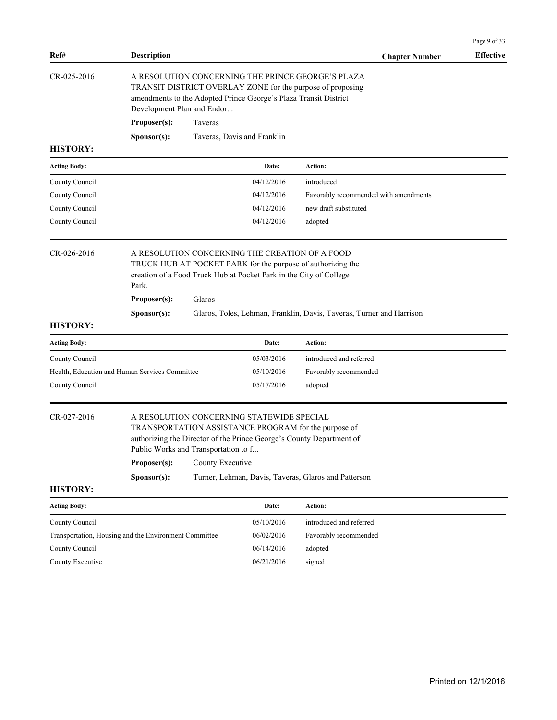|                                                       |                                                                                                                                                                                                                                                                                                                              |                                                                                                                                                                                                                   |                             |                                                                      | Page 9 of 33     |  |  |
|-------------------------------------------------------|------------------------------------------------------------------------------------------------------------------------------------------------------------------------------------------------------------------------------------------------------------------------------------------------------------------------------|-------------------------------------------------------------------------------------------------------------------------------------------------------------------------------------------------------------------|-----------------------------|----------------------------------------------------------------------|------------------|--|--|
| Ref#                                                  | <b>Description</b>                                                                                                                                                                                                                                                                                                           |                                                                                                                                                                                                                   |                             | <b>Chapter Number</b>                                                | <b>Effective</b> |  |  |
| CR-025-2016                                           |                                                                                                                                                                                                                                                                                                                              | A RESOLUTION CONCERNING THE PRINCE GEORGE'S PLAZA<br>TRANSIT DISTRICT OVERLAY ZONE for the purpose of proposing<br>amendments to the Adopted Prince George's Plaza Transit District<br>Development Plan and Endor |                             |                                                                      |                  |  |  |
|                                                       | Proposer(s):                                                                                                                                                                                                                                                                                                                 | Taveras                                                                                                                                                                                                           |                             |                                                                      |                  |  |  |
|                                                       | Sponsor(s):                                                                                                                                                                                                                                                                                                                  |                                                                                                                                                                                                                   | Taveras, Davis and Franklin |                                                                      |                  |  |  |
| <b>HISTORY:</b>                                       |                                                                                                                                                                                                                                                                                                                              |                                                                                                                                                                                                                   |                             |                                                                      |                  |  |  |
| <b>Acting Body:</b>                                   |                                                                                                                                                                                                                                                                                                                              |                                                                                                                                                                                                                   | Date:                       | Action:                                                              |                  |  |  |
| County Council                                        |                                                                                                                                                                                                                                                                                                                              |                                                                                                                                                                                                                   | 04/12/2016                  | introduced                                                           |                  |  |  |
| County Council                                        |                                                                                                                                                                                                                                                                                                                              |                                                                                                                                                                                                                   | 04/12/2016                  | Favorably recommended with amendments                                |                  |  |  |
| County Council                                        |                                                                                                                                                                                                                                                                                                                              |                                                                                                                                                                                                                   | 04/12/2016                  | new draft substituted                                                |                  |  |  |
| County Council                                        |                                                                                                                                                                                                                                                                                                                              |                                                                                                                                                                                                                   | 04/12/2016                  | adopted                                                              |                  |  |  |
| $CR - 026 - 2016$                                     | A RESOLUTION CONCERNING THE CREATION OF A FOOD<br>TRUCK HUB AT POCKET PARK for the purpose of authorizing the<br>creation of a Food Truck Hub at Pocket Park in the City of College<br>Park.<br>Proposer(s):<br>Glaros                                                                                                       |                                                                                                                                                                                                                   |                             |                                                                      |                  |  |  |
| <b>HISTORY:</b>                                       | Sponsor(s):                                                                                                                                                                                                                                                                                                                  |                                                                                                                                                                                                                   |                             | Glaros, Toles, Lehman, Franklin, Davis, Taveras, Turner and Harrison |                  |  |  |
| <b>Acting Body:</b>                                   |                                                                                                                                                                                                                                                                                                                              |                                                                                                                                                                                                                   | Date:                       | <b>Action:</b>                                                       |                  |  |  |
| County Council                                        |                                                                                                                                                                                                                                                                                                                              |                                                                                                                                                                                                                   | 05/03/2016                  | introduced and referred                                              |                  |  |  |
| Health, Education and Human Services Committee        |                                                                                                                                                                                                                                                                                                                              |                                                                                                                                                                                                                   | 05/10/2016                  | Favorably recommended                                                |                  |  |  |
| County Council                                        |                                                                                                                                                                                                                                                                                                                              |                                                                                                                                                                                                                   | 05/17/2016                  | adopted                                                              |                  |  |  |
| CR-027-2016                                           | A RESOLUTION CONCERNING STATEWIDE SPECIAL<br>TRANSPORTATION ASSISTANCE PROGRAM for the purpose of<br>authorizing the Director of the Prince George's County Department of<br>Public Works and Transportation to f<br>Proposer(s):<br>County Executive<br>Sponsor(s):<br>Turner, Lehman, Davis, Taveras, Glaros and Patterson |                                                                                                                                                                                                                   |                             |                                                                      |                  |  |  |
| <b>HISTORY:</b>                                       |                                                                                                                                                                                                                                                                                                                              |                                                                                                                                                                                                                   |                             |                                                                      |                  |  |  |
| <b>Acting Body:</b>                                   |                                                                                                                                                                                                                                                                                                                              |                                                                                                                                                                                                                   | Date:                       | Action:                                                              |                  |  |  |
| County Council                                        |                                                                                                                                                                                                                                                                                                                              |                                                                                                                                                                                                                   | 05/10/2016                  | introduced and referred                                              |                  |  |  |
| Transportation, Housing and the Environment Committee |                                                                                                                                                                                                                                                                                                                              |                                                                                                                                                                                                                   | 06/02/2016                  | Favorably recommended                                                |                  |  |  |
| County Council                                        |                                                                                                                                                                                                                                                                                                                              |                                                                                                                                                                                                                   | 06/14/2016                  | adopted                                                              |                  |  |  |
| County Executive                                      |                                                                                                                                                                                                                                                                                                                              |                                                                                                                                                                                                                   | 06/21/2016                  | signed                                                               |                  |  |  |
|                                                       |                                                                                                                                                                                                                                                                                                                              |                                                                                                                                                                                                                   |                             |                                                                      |                  |  |  |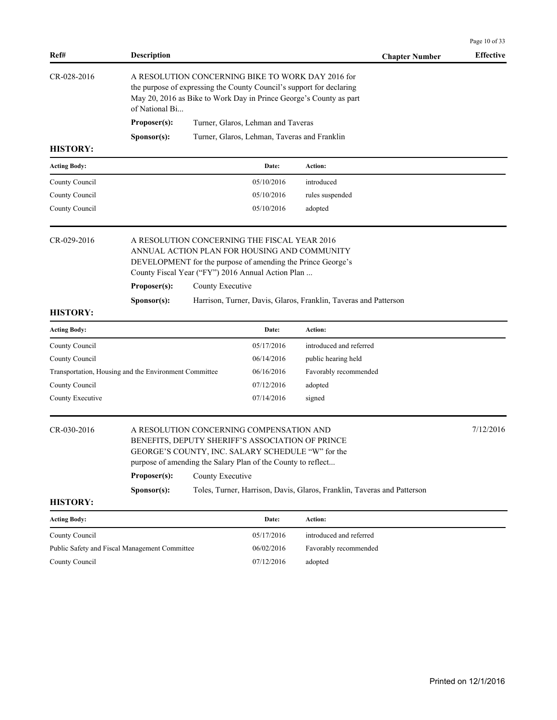|                                                       |                                                                                                                                                                                                                  |                                                                                                                                                                                                                   |                                              |                                                                                                                                                                                                 | Page 10 of 33    |
|-------------------------------------------------------|------------------------------------------------------------------------------------------------------------------------------------------------------------------------------------------------------------------|-------------------------------------------------------------------------------------------------------------------------------------------------------------------------------------------------------------------|----------------------------------------------|-------------------------------------------------------------------------------------------------------------------------------------------------------------------------------------------------|------------------|
| Ref#                                                  | <b>Description</b>                                                                                                                                                                                               |                                                                                                                                                                                                                   |                                              | <b>Chapter Number</b>                                                                                                                                                                           | <b>Effective</b> |
| CR-028-2016                                           | of National Bi                                                                                                                                                                                                   |                                                                                                                                                                                                                   |                                              | A RESOLUTION CONCERNING BIKE TO WORK DAY 2016 for<br>the purpose of expressing the County Council's support for declaring<br>May 20, 2016 as Bike to Work Day in Prince George's County as part |                  |
|                                                       | Proposer(s):                                                                                                                                                                                                     |                                                                                                                                                                                                                   | Turner, Glaros, Lehman and Taveras           |                                                                                                                                                                                                 |                  |
|                                                       | Sponsor(s):                                                                                                                                                                                                      |                                                                                                                                                                                                                   | Turner, Glaros, Lehman, Taveras and Franklin |                                                                                                                                                                                                 |                  |
| <b>HISTORY:</b>                                       |                                                                                                                                                                                                                  |                                                                                                                                                                                                                   |                                              |                                                                                                                                                                                                 |                  |
| <b>Acting Body:</b>                                   |                                                                                                                                                                                                                  |                                                                                                                                                                                                                   | Date:                                        | Action:                                                                                                                                                                                         |                  |
| County Council                                        |                                                                                                                                                                                                                  |                                                                                                                                                                                                                   | 05/10/2016                                   | introduced                                                                                                                                                                                      |                  |
| County Council                                        |                                                                                                                                                                                                                  |                                                                                                                                                                                                                   | 05/10/2016                                   | rules suspended                                                                                                                                                                                 |                  |
| County Council                                        |                                                                                                                                                                                                                  |                                                                                                                                                                                                                   | 05/10/2016                                   | adopted                                                                                                                                                                                         |                  |
| CR-029-2016                                           | A RESOLUTION CONCERNING THE FISCAL YEAR 2016<br>ANNUAL ACTION PLAN FOR HOUSING AND COMMUNITY<br>DEVELOPMENT for the purpose of amending the Prince George's<br>County Fiscal Year ("FY") 2016 Annual Action Plan |                                                                                                                                                                                                                   |                                              |                                                                                                                                                                                                 |                  |
|                                                       | Proposer(s):                                                                                                                                                                                                     | County Executive                                                                                                                                                                                                  |                                              |                                                                                                                                                                                                 |                  |
|                                                       | Sponsor(s):                                                                                                                                                                                                      |                                                                                                                                                                                                                   |                                              | Harrison, Turner, Davis, Glaros, Franklin, Taveras and Patterson                                                                                                                                |                  |
| <b>HISTORY:</b>                                       |                                                                                                                                                                                                                  |                                                                                                                                                                                                                   |                                              |                                                                                                                                                                                                 |                  |
| <b>Acting Body:</b>                                   |                                                                                                                                                                                                                  |                                                                                                                                                                                                                   | Date:                                        | Action:                                                                                                                                                                                         |                  |
| County Council                                        |                                                                                                                                                                                                                  |                                                                                                                                                                                                                   | 05/17/2016                                   | introduced and referred                                                                                                                                                                         |                  |
| County Council                                        |                                                                                                                                                                                                                  |                                                                                                                                                                                                                   | 06/14/2016                                   | public hearing held                                                                                                                                                                             |                  |
| Transportation, Housing and the Environment Committee |                                                                                                                                                                                                                  |                                                                                                                                                                                                                   | 06/16/2016                                   | Favorably recommended                                                                                                                                                                           |                  |
| County Council                                        |                                                                                                                                                                                                                  |                                                                                                                                                                                                                   | 07/12/2016                                   | adopted                                                                                                                                                                                         |                  |
| County Executive                                      |                                                                                                                                                                                                                  |                                                                                                                                                                                                                   | 07/14/2016                                   | signed                                                                                                                                                                                          |                  |
| CR-030-2016                                           |                                                                                                                                                                                                                  | A RESOLUTION CONCERNING COMPENSATION AND<br>BENEFITS, DEPUTY SHERIFF'S ASSOCIATION OF PRINCE<br>GEORGE'S COUNTY, INC. SALARY SCHEDULE "W" for the<br>purpose of amending the Salary Plan of the County to reflect |                                              |                                                                                                                                                                                                 | 7/12/2016        |
|                                                       | Proposer(s):                                                                                                                                                                                                     | County Executive                                                                                                                                                                                                  |                                              |                                                                                                                                                                                                 |                  |
|                                                       | Sponsor(s):                                                                                                                                                                                                      |                                                                                                                                                                                                                   |                                              | Toles, Turner, Harrison, Davis, Glaros, Franklin, Taveras and Patterson                                                                                                                         |                  |
| <b>HISTORY:</b>                                       |                                                                                                                                                                                                                  |                                                                                                                                                                                                                   |                                              |                                                                                                                                                                                                 |                  |
| <b>Acting Body:</b>                                   |                                                                                                                                                                                                                  |                                                                                                                                                                                                                   | Date:                                        | Action:                                                                                                                                                                                         |                  |
| County Council                                        |                                                                                                                                                                                                                  |                                                                                                                                                                                                                   | 05/17/2016                                   | introduced and referred                                                                                                                                                                         |                  |
| Public Safety and Fiscal Management Committee         |                                                                                                                                                                                                                  |                                                                                                                                                                                                                   | 06/02/2016                                   | Favorably recommended                                                                                                                                                                           |                  |
| County Council                                        |                                                                                                                                                                                                                  |                                                                                                                                                                                                                   | 07/12/2016                                   | adopted                                                                                                                                                                                         |                  |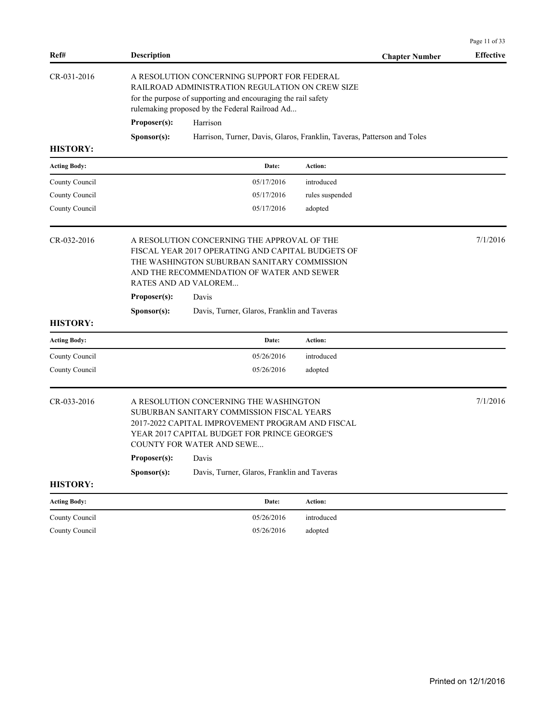| Ref#                | <b>Description</b>                                                                                                                                                                                                                            | <b>Chapter Number</b>                                                   | <b>Effective</b> |  |  |  |
|---------------------|-----------------------------------------------------------------------------------------------------------------------------------------------------------------------------------------------------------------------------------------------|-------------------------------------------------------------------------|------------------|--|--|--|
| CR-031-2016         | A RESOLUTION CONCERNING SUPPORT FOR FEDERAL<br>RAILROAD ADMINISTRATION REGULATION ON CREW SIZE<br>for the purpose of supporting and encouraging the rail safety<br>rulemaking proposed by the Federal Railroad Ad<br>Proposer(s):<br>Harrison |                                                                         |                  |  |  |  |
|                     | Sponsor(s):                                                                                                                                                                                                                                   | Harrison, Turner, Davis, Glaros, Franklin, Taveras, Patterson and Toles |                  |  |  |  |
| <b>HISTORY:</b>     |                                                                                                                                                                                                                                               |                                                                         |                  |  |  |  |
| <b>Acting Body:</b> | Date:                                                                                                                                                                                                                                         | Action:                                                                 |                  |  |  |  |
| County Council      | 05/17/2016                                                                                                                                                                                                                                    | introduced                                                              |                  |  |  |  |
| County Council      | 05/17/2016                                                                                                                                                                                                                                    | rules suspended                                                         |                  |  |  |  |
| County Council      | 05/17/2016                                                                                                                                                                                                                                    | adopted                                                                 |                  |  |  |  |
| CR-032-2016         | A RESOLUTION CONCERNING THE APPROVAL OF THE<br>FISCAL YEAR 2017 OPERATING AND CAPITAL BUDGETS OF<br>THE WASHINGTON SUBURBAN SANITARY COMMISSION<br>AND THE RECOMMENDATION OF WATER AND SEWER<br>RATES AND AD VALOREM                          |                                                                         |                  |  |  |  |
|                     | Proposer(s):<br>Davis                                                                                                                                                                                                                         |                                                                         |                  |  |  |  |
| <b>HISTORY:</b>     | Davis, Turner, Glaros, Franklin and Taveras<br>Sponsor(s):                                                                                                                                                                                    |                                                                         |                  |  |  |  |
| <b>Acting Body:</b> | Date:                                                                                                                                                                                                                                         | Action:                                                                 |                  |  |  |  |
| County Council      | 05/26/2016                                                                                                                                                                                                                                    | introduced                                                              |                  |  |  |  |
| County Council      | 05/26/2016                                                                                                                                                                                                                                    | adopted                                                                 |                  |  |  |  |
| CR-033-2016         | A RESOLUTION CONCERNING THE WASHINGTON<br>SUBURBAN SANITARY COMMISSION FISCAL YEARS<br>2017-2022 CAPITAL IMPROVEMENT PROGRAM AND FISCAL<br>YEAR 2017 CAPITAL BUDGET FOR PRINCE GEORGE'S<br><b>COUNTY FOR WATER AND SEWE</b>                   |                                                                         | 7/1/2016         |  |  |  |
|                     | Proposer(s):<br>Davis                                                                                                                                                                                                                         |                                                                         |                  |  |  |  |
|                     | Davis, Turner, Glaros, Franklin and Taveras<br>Sponsor(s):                                                                                                                                                                                    |                                                                         |                  |  |  |  |
| <b>HISTORY:</b>     |                                                                                                                                                                                                                                               |                                                                         |                  |  |  |  |
| <b>Acting Body:</b> | Date:                                                                                                                                                                                                                                         | <b>Action:</b>                                                          |                  |  |  |  |
| County Council      | 05/26/2016                                                                                                                                                                                                                                    | introduced                                                              |                  |  |  |  |
| County Council      | 05/26/2016                                                                                                                                                                                                                                    | adopted                                                                 |                  |  |  |  |

Page 11 of 33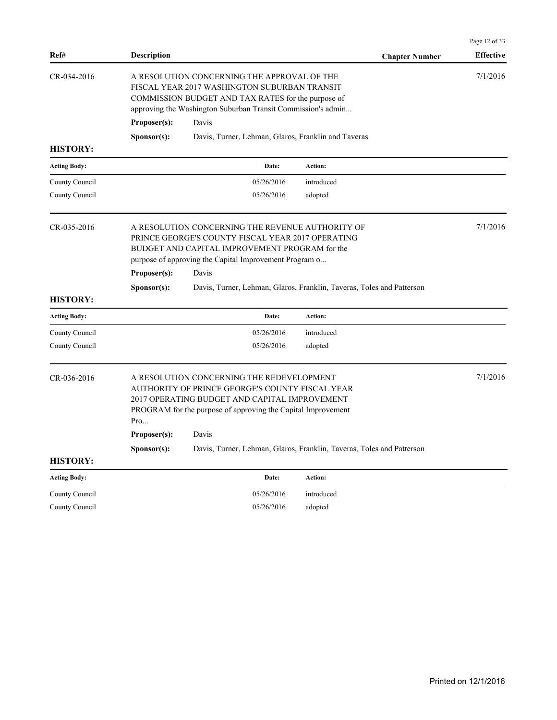| Ref#                | <b>Description</b>                                                                                                                                                                                                   | <b>Chapter Number</b>                                                 | <b>Effective</b> |  |  |  |
|---------------------|----------------------------------------------------------------------------------------------------------------------------------------------------------------------------------------------------------------------|-----------------------------------------------------------------------|------------------|--|--|--|
| CR-034-2016         | A RESOLUTION CONCERNING THE APPROVAL OF THE<br>FISCAL YEAR 2017 WASHINGTON SUBURBAN TRANSIT<br>COMMISSION BUDGET AND TAX RATES for the purpose of<br>approving the Washington Suburban Transit Commission's admin    |                                                                       | 7/1/2016         |  |  |  |
|                     | Proposer(s):<br>Davis                                                                                                                                                                                                |                                                                       |                  |  |  |  |
| <b>HISTORY:</b>     | Davis, Turner, Lehman, Glaros, Franklin and Taveras<br>S <b>p</b> onsor(s):                                                                                                                                          |                                                                       |                  |  |  |  |
| <b>Acting Body:</b> | Date:                                                                                                                                                                                                                | Action:                                                               |                  |  |  |  |
| County Council      | 05/26/2016                                                                                                                                                                                                           | introduced                                                            |                  |  |  |  |
| County Council      | 05/26/2016                                                                                                                                                                                                           | adopted                                                               |                  |  |  |  |
| CR-035-2016         | A RESOLUTION CONCERNING THE REVENUE AUTHORITY OF<br>PRINCE GEORGE'S COUNTY FISCAL YEAR 2017 OPERATING<br>BUDGET AND CAPITAL IMPROVEMENT PROGRAM for the<br>purpose of approving the Capital Improvement Program o    |                                                                       |                  |  |  |  |
|                     | Proposer(s):<br>Davis                                                                                                                                                                                                |                                                                       |                  |  |  |  |
| <b>HISTORY:</b>     | S <b>p</b> onsor(s):                                                                                                                                                                                                 | Davis, Turner, Lehman, Glaros, Franklin, Taveras, Toles and Patterson |                  |  |  |  |
| <b>Acting Body:</b> | Date:                                                                                                                                                                                                                | Action:                                                               |                  |  |  |  |
| County Council      | 05/26/2016                                                                                                                                                                                                           | introduced                                                            |                  |  |  |  |
| County Council      | 05/26/2016                                                                                                                                                                                                           | adopted                                                               |                  |  |  |  |
| CR-036-2016         | A RESOLUTION CONCERNING THE REDEVELOPMENT<br>AUTHORITY OF PRINCE GEORGE'S COUNTY FISCAL YEAR<br>2017 OPERATING BUDGET AND CAPITAL IMPROVEMENT<br>PROGRAM for the purpose of approving the Capital Improvement<br>Pro |                                                                       | 7/1/2016         |  |  |  |
|                     | Proposer(s):<br>Davis                                                                                                                                                                                                |                                                                       |                  |  |  |  |
| <b>HISTORY:</b>     | S <b>p</b> onsor(s):                                                                                                                                                                                                 | Davis, Turner, Lehman, Glaros, Franklin, Taveras, Toles and Patterson |                  |  |  |  |
| <b>Acting Body:</b> | Date:                                                                                                                                                                                                                | Action:                                                               |                  |  |  |  |
| County Council      | 05/26/2016                                                                                                                                                                                                           | introduced                                                            |                  |  |  |  |
| County Council      | 05/26/2016                                                                                                                                                                                                           | adopted                                                               |                  |  |  |  |

Page 12 of 33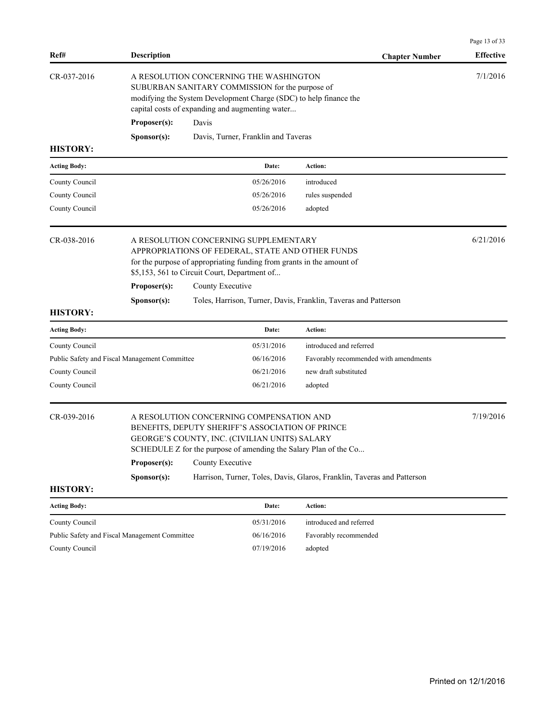| Ref#                | <b>Description</b>                                                                                                                                                                                                                                    |                                                                                                                                                                                                                            |                                     | <b>Chapter Number</b>                                                   | <b>Effective</b> |  |
|---------------------|-------------------------------------------------------------------------------------------------------------------------------------------------------------------------------------------------------------------------------------------------------|----------------------------------------------------------------------------------------------------------------------------------------------------------------------------------------------------------------------------|-------------------------------------|-------------------------------------------------------------------------|------------------|--|
| CR-037-2016         | Proposer(s):                                                                                                                                                                                                                                          | A RESOLUTION CONCERNING THE WASHINGTON<br>SUBURBAN SANITARY COMMISSION for the purpose of<br>modifying the System Development Charge (SDC) to help finance the<br>capital costs of expanding and augmenting water<br>Davis |                                     |                                                                         |                  |  |
|                     | Sponsor(s):                                                                                                                                                                                                                                           |                                                                                                                                                                                                                            | Davis, Turner, Franklin and Taveras |                                                                         |                  |  |
| <b>HISTORY:</b>     |                                                                                                                                                                                                                                                       |                                                                                                                                                                                                                            |                                     |                                                                         |                  |  |
| <b>Acting Body:</b> |                                                                                                                                                                                                                                                       |                                                                                                                                                                                                                            | Date:                               | <b>Action:</b>                                                          |                  |  |
| County Council      |                                                                                                                                                                                                                                                       |                                                                                                                                                                                                                            | 05/26/2016                          | introduced                                                              |                  |  |
| County Council      |                                                                                                                                                                                                                                                       |                                                                                                                                                                                                                            | 05/26/2016                          | rules suspended                                                         |                  |  |
| County Council      |                                                                                                                                                                                                                                                       |                                                                                                                                                                                                                            | 05/26/2016                          | adopted                                                                 |                  |  |
| CR-038-2016         | A RESOLUTION CONCERNING SUPPLEMENTARY<br>\$5,153, 561 to Circuit Court, Department of                                                                                                                                                                 | APPROPRIATIONS OF FEDERAL, STATE AND OTHER FUNDS<br>for the purpose of appropriating funding from grants in the amount of                                                                                                  | 6/21/2016                           |                                                                         |                  |  |
|                     | Proposer(s):                                                                                                                                                                                                                                          | County Executive                                                                                                                                                                                                           |                                     |                                                                         |                  |  |
|                     | Sponsor(s):                                                                                                                                                                                                                                           |                                                                                                                                                                                                                            |                                     | Toles, Harrison, Turner, Davis, Franklin, Taveras and Patterson         |                  |  |
| <b>HISTORY:</b>     |                                                                                                                                                                                                                                                       |                                                                                                                                                                                                                            |                                     |                                                                         |                  |  |
| <b>Acting Body:</b> |                                                                                                                                                                                                                                                       |                                                                                                                                                                                                                            | Date:                               | <b>Action:</b>                                                          |                  |  |
| County Council      |                                                                                                                                                                                                                                                       |                                                                                                                                                                                                                            | 05/31/2016                          | introduced and referred                                                 |                  |  |
|                     | Public Safety and Fiscal Management Committee                                                                                                                                                                                                         |                                                                                                                                                                                                                            | 06/16/2016                          | Favorably recommended with amendments                                   |                  |  |
| County Council      |                                                                                                                                                                                                                                                       |                                                                                                                                                                                                                            | 06/21/2016                          | new draft substituted                                                   |                  |  |
| County Council      |                                                                                                                                                                                                                                                       |                                                                                                                                                                                                                            | 06/21/2016                          | adopted                                                                 |                  |  |
| CR-039-2016         | A RESOLUTION CONCERNING COMPENSATION AND<br>BENEFITS, DEPUTY SHERIFF'S ASSOCIATION OF PRINCE<br>GEORGE'S COUNTY, INC. (CIVILIAN UNITS) SALARY<br>SCHEDULE Z for the purpose of amending the Salary Plan of the Co<br>Proposer(s):<br>County Executive |                                                                                                                                                                                                                            |                                     |                                                                         | 7/19/2016        |  |
| <b>HISTORY:</b>     | Sponsor(s):                                                                                                                                                                                                                                           |                                                                                                                                                                                                                            |                                     | Harrison, Turner, Toles, Davis, Glaros, Franklin, Taveras and Patterson |                  |  |
| <b>Acting Body:</b> |                                                                                                                                                                                                                                                       |                                                                                                                                                                                                                            | Date:                               | Action:                                                                 |                  |  |
| County Council      |                                                                                                                                                                                                                                                       |                                                                                                                                                                                                                            | 05/31/2016                          | introduced and referred                                                 |                  |  |
|                     | Public Safety and Fiscal Management Committee                                                                                                                                                                                                         |                                                                                                                                                                                                                            | 06/16/2016                          | Favorably recommended                                                   |                  |  |
| County Council      |                                                                                                                                                                                                                                                       |                                                                                                                                                                                                                            | 07/19/2016                          | adopted                                                                 |                  |  |

Page 13 of 33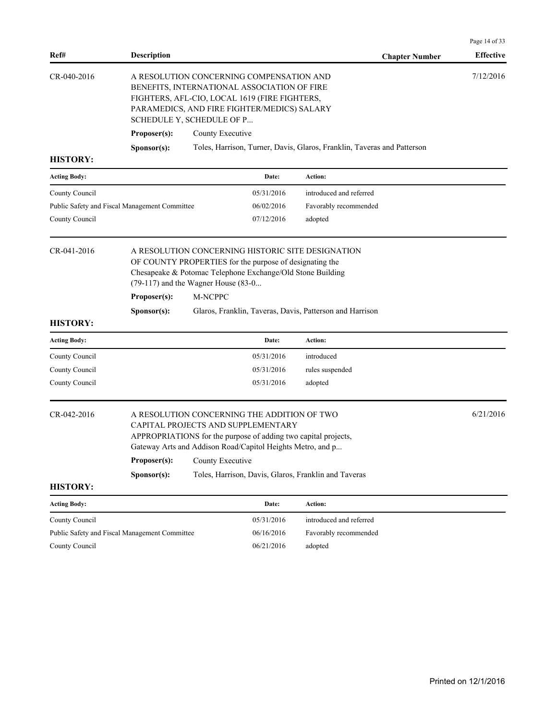| Ref#                                          | <b>Description</b>                                                                                                                                                                                                   |                  |                                                                                                                       | <b>Chapter Number</b>                                                   | <b>Effective</b> |
|-----------------------------------------------|----------------------------------------------------------------------------------------------------------------------------------------------------------------------------------------------------------------------|------------------|-----------------------------------------------------------------------------------------------------------------------|-------------------------------------------------------------------------|------------------|
| CR-040-2016                                   | A RESOLUTION CONCERNING COMPENSATION AND<br>BENEFITS, INTERNATIONAL ASSOCIATION OF FIRE<br>FIGHTERS, AFL-CIO, LOCAL 1619 (FIRE FIGHTERS,<br>PARAMEDICS, AND FIRE FIGHTER/MEDICS) SALARY<br>SCHEDULE Y, SCHEDULE OF P |                  |                                                                                                                       | 7/12/2016                                                               |                  |
|                                               | Proposer(s):                                                                                                                                                                                                         | County Executive |                                                                                                                       |                                                                         |                  |
|                                               | Sponsor(s):                                                                                                                                                                                                          |                  |                                                                                                                       | Toles, Harrison, Turner, Davis, Glaros, Franklin, Taveras and Patterson |                  |
| <b>HISTORY:</b>                               |                                                                                                                                                                                                                      |                  |                                                                                                                       |                                                                         |                  |
| <b>Acting Body:</b>                           |                                                                                                                                                                                                                      |                  | Date:                                                                                                                 | Action:                                                                 |                  |
| County Council                                |                                                                                                                                                                                                                      |                  | 05/31/2016                                                                                                            | introduced and referred                                                 |                  |
| Public Safety and Fiscal Management Committee |                                                                                                                                                                                                                      |                  | 06/02/2016                                                                                                            | Favorably recommended                                                   |                  |
| County Council                                |                                                                                                                                                                                                                      |                  | 07/12/2016                                                                                                            | adopted                                                                 |                  |
| <b>HISTORY:</b>                               | $(79-117)$ and the Wagner House $(83-0$<br>Proposer(s):<br>Sponsor(s):                                                                                                                                               | M-NCPPC          | OF COUNTY PROPERTIES for the purpose of designating the<br>Chesapeake & Potomac Telephone Exchange/Old Stone Building | Glaros, Franklin, Taveras, Davis, Patterson and Harrison                |                  |
| <b>Acting Body:</b>                           |                                                                                                                                                                                                                      |                  | Date:                                                                                                                 | Action:                                                                 |                  |
| County Council                                |                                                                                                                                                                                                                      |                  | 05/31/2016                                                                                                            | introduced                                                              |                  |
| County Council                                |                                                                                                                                                                                                                      |                  | 05/31/2016                                                                                                            | rules suspended                                                         |                  |
| County Council                                |                                                                                                                                                                                                                      |                  | 05/31/2016                                                                                                            | adopted                                                                 |                  |
| CR-042-2016                                   | A RESOLUTION CONCERNING THE ADDITION OF TWO<br>CAPITAL PROJECTS AND SUPPLEMENTARY<br>APPROPRIATIONS for the purpose of adding two capital projects,<br>Gateway Arts and Addison Road/Capitol Heights Metro, and p    |                  |                                                                                                                       |                                                                         | 6/21/2016        |
|                                               | Proposer(s):                                                                                                                                                                                                         |                  |                                                                                                                       |                                                                         |                  |
| <b>HISTORY:</b>                               | Sponsor(s):                                                                                                                                                                                                          |                  |                                                                                                                       | Toles, Harrison, Davis, Glaros, Franklin and Taveras                    |                  |
| <b>Acting Body:</b>                           |                                                                                                                                                                                                                      |                  | Date:                                                                                                                 | Action:                                                                 |                  |
| County Council                                |                                                                                                                                                                                                                      |                  | 05/31/2016                                                                                                            | introduced and referred                                                 |                  |
| Public Safety and Fiscal Management Committee |                                                                                                                                                                                                                      |                  | 06/16/2016                                                                                                            | Favorably recommended                                                   |                  |

County Council 06/21/2016 adopted

Page 14 of 33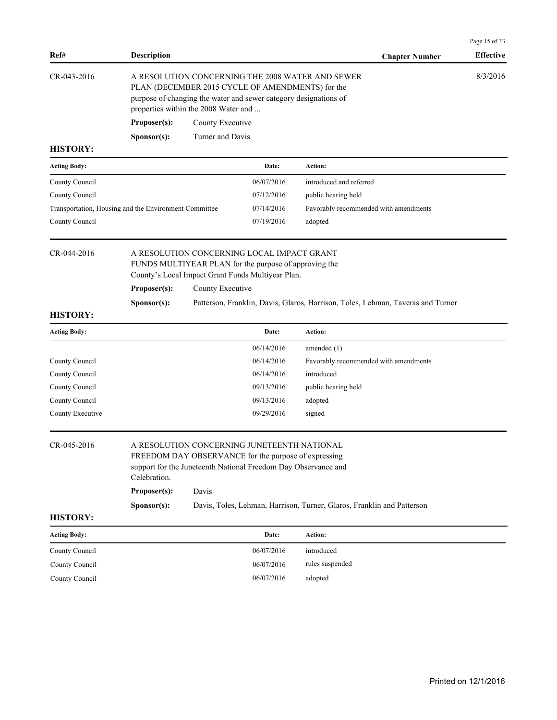| Ref#                                                  | <b>Description</b>                                                                                                                                                                                             |                                      |                                                                                                                      | <b>Chapter Number</b>                                                           | Page 15 of 33<br><b>Effective</b> |
|-------------------------------------------------------|----------------------------------------------------------------------------------------------------------------------------------------------------------------------------------------------------------------|--------------------------------------|----------------------------------------------------------------------------------------------------------------------|---------------------------------------------------------------------------------|-----------------------------------|
| CR-043-2016                                           |                                                                                                                                                                                                                | properties within the 2008 Water and | PLAN (DECEMBER 2015 CYCLE OF AMENDMENTS) for the<br>purpose of changing the water and sewer category designations of | A RESOLUTION CONCERNING THE 2008 WATER AND SEWER                                | 8/3/2016                          |
|                                                       | Proposer(s):                                                                                                                                                                                                   | County Executive                     |                                                                                                                      |                                                                                 |                                   |
|                                                       | Sponsor(s):                                                                                                                                                                                                    | Turner and Davis                     |                                                                                                                      |                                                                                 |                                   |
| <b>HISTORY:</b>                                       |                                                                                                                                                                                                                |                                      |                                                                                                                      |                                                                                 |                                   |
| <b>Acting Body:</b>                                   |                                                                                                                                                                                                                |                                      | Date:                                                                                                                | Action:                                                                         |                                   |
| County Council                                        |                                                                                                                                                                                                                |                                      | 06/07/2016                                                                                                           | introduced and referred                                                         |                                   |
| County Council                                        |                                                                                                                                                                                                                |                                      | 07/12/2016                                                                                                           | public hearing held                                                             |                                   |
| Transportation, Housing and the Environment Committee |                                                                                                                                                                                                                |                                      | 07/14/2016                                                                                                           | Favorably recommended with amendments                                           |                                   |
| County Council                                        |                                                                                                                                                                                                                |                                      | 07/19/2016                                                                                                           | adopted                                                                         |                                   |
| CR-044-2016                                           | A RESOLUTION CONCERNING LOCAL IMPACT GRANT<br>FUNDS MULTIYEAR PLAN for the purpose of approving the<br>County's Local Impact Grant Funds Multiyear Plan.                                                       |                                      |                                                                                                                      |                                                                                 |                                   |
|                                                       | Proposer(s):                                                                                                                                                                                                   | County Executive                     |                                                                                                                      |                                                                                 |                                   |
|                                                       | Sponsor(s):                                                                                                                                                                                                    |                                      |                                                                                                                      | Patterson, Franklin, Davis, Glaros, Harrison, Toles, Lehman, Taveras and Turner |                                   |
| <b>HISTORY:</b>                                       |                                                                                                                                                                                                                |                                      |                                                                                                                      |                                                                                 |                                   |
| <b>Acting Body:</b>                                   |                                                                                                                                                                                                                |                                      | Date:                                                                                                                | Action:                                                                         |                                   |
|                                                       |                                                                                                                                                                                                                |                                      | 06/14/2016                                                                                                           | amended $(1)$                                                                   |                                   |
| County Council                                        |                                                                                                                                                                                                                |                                      | 06/14/2016                                                                                                           | Favorably recommended with amendments                                           |                                   |
| County Council                                        |                                                                                                                                                                                                                |                                      | 06/14/2016                                                                                                           | introduced                                                                      |                                   |
| County Council                                        |                                                                                                                                                                                                                |                                      | 09/13/2016                                                                                                           | public hearing held                                                             |                                   |
| County Council                                        |                                                                                                                                                                                                                |                                      | 09/13/2016                                                                                                           | adopted                                                                         |                                   |
| County Executive                                      |                                                                                                                                                                                                                |                                      | 09/29/2016                                                                                                           | signed                                                                          |                                   |
| CR-045-2016                                           | A RESOLUTION CONCERNING JUNETEENTH NATIONAL<br>FREEDOM DAY OBSERVANCE for the purpose of expressing<br>support for the Juneteenth National Freedom Day Observance and<br>Celebration.<br>Proposer(s):<br>Davis |                                      |                                                                                                                      |                                                                                 |                                   |
|                                                       |                                                                                                                                                                                                                |                                      |                                                                                                                      | Davis, Toles, Lehman, Harrison, Turner, Glaros, Franklin and Patterson          |                                   |
| <b>HISTORY:</b>                                       | Sponsor(s):                                                                                                                                                                                                    |                                      |                                                                                                                      |                                                                                 |                                   |
|                                                       |                                                                                                                                                                                                                |                                      |                                                                                                                      |                                                                                 |                                   |
| <b>Acting Body:</b>                                   |                                                                                                                                                                                                                |                                      | Date:                                                                                                                | Action:                                                                         |                                   |
| County Council                                        |                                                                                                                                                                                                                |                                      | 06/07/2016                                                                                                           | introduced                                                                      |                                   |
| County Council                                        |                                                                                                                                                                                                                |                                      | 06/07/2016                                                                                                           | rules suspended                                                                 |                                   |
| County Council                                        |                                                                                                                                                                                                                |                                      | 06/07/2016                                                                                                           | adopted                                                                         |                                   |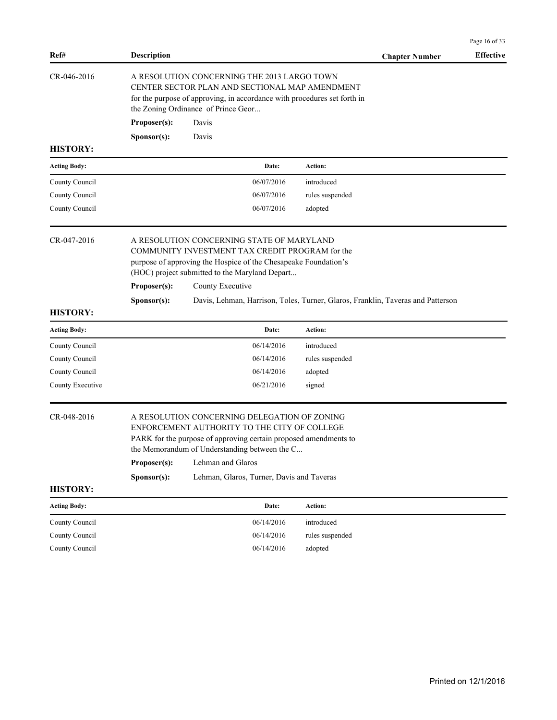| Ref#                | <b>Description</b>                                                                                                                                                                                                                                     |                                                                                                                                                                                                                   |                                                                                 | <b>Chapter Number</b> | <b>Effective</b> |  |
|---------------------|--------------------------------------------------------------------------------------------------------------------------------------------------------------------------------------------------------------------------------------------------------|-------------------------------------------------------------------------------------------------------------------------------------------------------------------------------------------------------------------|---------------------------------------------------------------------------------|-----------------------|------------------|--|
| CR-046-2016         | A RESOLUTION CONCERNING THE 2013 LARGO TOWN<br>CENTER SECTOR PLAN AND SECTIONAL MAP AMENDMENT<br>for the purpose of approving, in accordance with procedures set forth in<br>the Zoning Ordinance of Prince Geor                                       |                                                                                                                                                                                                                   |                                                                                 |                       |                  |  |
|                     | Proposer(s):                                                                                                                                                                                                                                           | Davis                                                                                                                                                                                                             |                                                                                 |                       |                  |  |
|                     | Sponsor(s):                                                                                                                                                                                                                                            | Davis                                                                                                                                                                                                             |                                                                                 |                       |                  |  |
| <b>HISTORY:</b>     |                                                                                                                                                                                                                                                        |                                                                                                                                                                                                                   |                                                                                 |                       |                  |  |
| <b>Acting Body:</b> |                                                                                                                                                                                                                                                        | Date:                                                                                                                                                                                                             | Action:                                                                         |                       |                  |  |
| County Council      |                                                                                                                                                                                                                                                        | 06/07/2016                                                                                                                                                                                                        | introduced                                                                      |                       |                  |  |
| County Council      |                                                                                                                                                                                                                                                        | 06/07/2016                                                                                                                                                                                                        | rules suspended                                                                 |                       |                  |  |
| County Council      |                                                                                                                                                                                                                                                        | 06/07/2016                                                                                                                                                                                                        | adopted                                                                         |                       |                  |  |
| CR-047-2016         |                                                                                                                                                                                                                                                        | A RESOLUTION CONCERNING STATE OF MARYLAND<br>COMMUNITY INVESTMENT TAX CREDIT PROGRAM for the<br>purpose of approving the Hospice of the Chesapeake Foundation's<br>(HOC) project submitted to the Maryland Depart |                                                                                 |                       |                  |  |
|                     | Proposer(s):                                                                                                                                                                                                                                           | County Executive                                                                                                                                                                                                  |                                                                                 |                       |                  |  |
|                     | Sponsor(s):                                                                                                                                                                                                                                            |                                                                                                                                                                                                                   | Davis, Lehman, Harrison, Toles, Turner, Glaros, Franklin, Taveras and Patterson |                       |                  |  |
| <b>HISTORY:</b>     |                                                                                                                                                                                                                                                        |                                                                                                                                                                                                                   |                                                                                 |                       |                  |  |
| <b>Acting Body:</b> |                                                                                                                                                                                                                                                        | Date:                                                                                                                                                                                                             | Action:                                                                         |                       |                  |  |
| County Council      |                                                                                                                                                                                                                                                        | 06/14/2016                                                                                                                                                                                                        | introduced                                                                      |                       |                  |  |
| County Council      |                                                                                                                                                                                                                                                        | 06/14/2016                                                                                                                                                                                                        | rules suspended                                                                 |                       |                  |  |
| County Council      |                                                                                                                                                                                                                                                        | 06/14/2016                                                                                                                                                                                                        | adopted                                                                         |                       |                  |  |
| County Executive    |                                                                                                                                                                                                                                                        | 06/21/2016                                                                                                                                                                                                        | signed                                                                          |                       |                  |  |
| CR-048-2016         | A RESOLUTION CONCERNING DELEGATION OF ZONING<br>ENFORCEMENT AUTHORITY TO THE CITY OF COLLEGE<br>PARK for the purpose of approving certain proposed amendments to<br>the Memorandum of Understanding between the C<br>Proposer(s):<br>Lehman and Glaros |                                                                                                                                                                                                                   |                                                                                 |                       |                  |  |
| <b>HISTORY:</b>     | Sponsor(s):                                                                                                                                                                                                                                            | Lehman, Glaros, Turner, Davis and Taveras                                                                                                                                                                         |                                                                                 |                       |                  |  |
| <b>Acting Body:</b> |                                                                                                                                                                                                                                                        | Date:                                                                                                                                                                                                             | Action:                                                                         |                       |                  |  |
| County Council      |                                                                                                                                                                                                                                                        | 06/14/2016                                                                                                                                                                                                        | introduced                                                                      |                       |                  |  |
| County Council      |                                                                                                                                                                                                                                                        | 06/14/2016                                                                                                                                                                                                        | rules suspended                                                                 |                       |                  |  |
| County Council      |                                                                                                                                                                                                                                                        | 06/14/2016                                                                                                                                                                                                        | adopted                                                                         |                       |                  |  |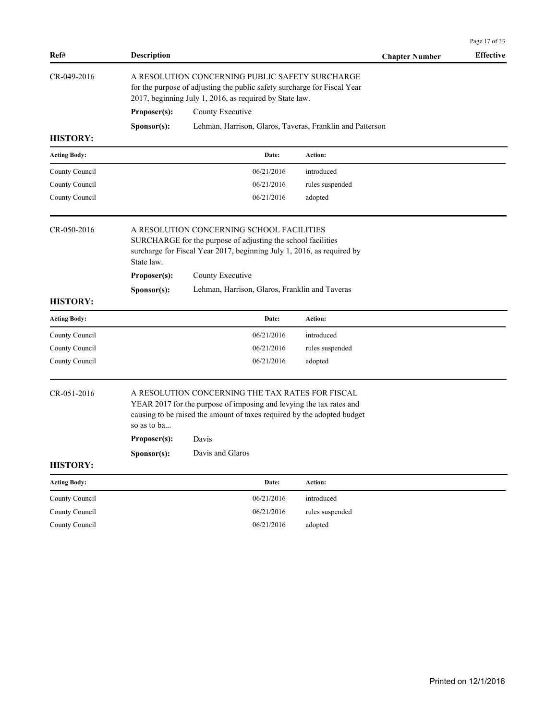|                                  |                                                                                                                                                                                                                                                                               |                                                                                                                                                                                        |                 |                       | Page 17 of 33    |  |
|----------------------------------|-------------------------------------------------------------------------------------------------------------------------------------------------------------------------------------------------------------------------------------------------------------------------------|----------------------------------------------------------------------------------------------------------------------------------------------------------------------------------------|-----------------|-----------------------|------------------|--|
| Ref#                             | <b>Description</b>                                                                                                                                                                                                                                                            |                                                                                                                                                                                        |                 | <b>Chapter Number</b> | <b>Effective</b> |  |
| CR-049-2016                      |                                                                                                                                                                                                                                                                               | A RESOLUTION CONCERNING PUBLIC SAFETY SURCHARGE<br>for the purpose of adjusting the public safety surcharge for Fiscal Year<br>2017, beginning July 1, 2016, as required by State law. |                 |                       |                  |  |
|                                  | Proposer(s):                                                                                                                                                                                                                                                                  | County Executive                                                                                                                                                                       |                 |                       |                  |  |
|                                  | Sponsor(s):                                                                                                                                                                                                                                                                   | Lehman, Harrison, Glaros, Taveras, Franklin and Patterson                                                                                                                              |                 |                       |                  |  |
| <b>HISTORY:</b>                  |                                                                                                                                                                                                                                                                               |                                                                                                                                                                                        |                 |                       |                  |  |
| <b>Acting Body:</b>              |                                                                                                                                                                                                                                                                               | Date:                                                                                                                                                                                  | Action:         |                       |                  |  |
| County Council                   |                                                                                                                                                                                                                                                                               | 06/21/2016                                                                                                                                                                             | introduced      |                       |                  |  |
| County Council                   |                                                                                                                                                                                                                                                                               | 06/21/2016                                                                                                                                                                             | rules suspended |                       |                  |  |
| County Council                   |                                                                                                                                                                                                                                                                               | 06/21/2016                                                                                                                                                                             | adopted         |                       |                  |  |
| CR-050-2016                      | A RESOLUTION CONCERNING SCHOOL FACILITIES<br>SURCHARGE for the purpose of adjusting the school facilities<br>surcharge for Fiscal Year 2017, beginning July 1, 2016, as required by<br>State law.<br>Proposer(s):<br>County Executive                                         |                                                                                                                                                                                        |                 |                       |                  |  |
| <b>HISTORY:</b>                  | Sponsor(s):                                                                                                                                                                                                                                                                   | Lehman, Harrison, Glaros, Franklin and Taveras                                                                                                                                         |                 |                       |                  |  |
| <b>Acting Body:</b>              |                                                                                                                                                                                                                                                                               | Date:                                                                                                                                                                                  | Action:         |                       |                  |  |
| County Council                   |                                                                                                                                                                                                                                                                               | 06/21/2016                                                                                                                                                                             | introduced      |                       |                  |  |
| County Council                   |                                                                                                                                                                                                                                                                               | 06/21/2016                                                                                                                                                                             | rules suspended |                       |                  |  |
| County Council                   |                                                                                                                                                                                                                                                                               | 06/21/2016                                                                                                                                                                             | adopted         |                       |                  |  |
| CR-051-2016                      | A RESOLUTION CONCERNING THE TAX RATES FOR FISCAL<br>YEAR 2017 for the purpose of imposing and levying the tax rates and<br>causing to be raised the amount of taxes required by the adopted budget<br>so as to ba<br>Proposer(s):<br>Davis<br>Davis and Glaros<br>Sponsor(s): |                                                                                                                                                                                        |                 |                       |                  |  |
| <b>HISTORY:</b>                  |                                                                                                                                                                                                                                                                               |                                                                                                                                                                                        |                 |                       |                  |  |
| <b>Acting Body:</b>              |                                                                                                                                                                                                                                                                               |                                                                                                                                                                                        |                 |                       |                  |  |
|                                  |                                                                                                                                                                                                                                                                               | Date:                                                                                                                                                                                  | Action:         |                       |                  |  |
|                                  |                                                                                                                                                                                                                                                                               | 06/21/2016                                                                                                                                                                             | introduced      |                       |                  |  |
| County Council<br>County Council |                                                                                                                                                                                                                                                                               | 06/21/2016                                                                                                                                                                             | rules suspended |                       |                  |  |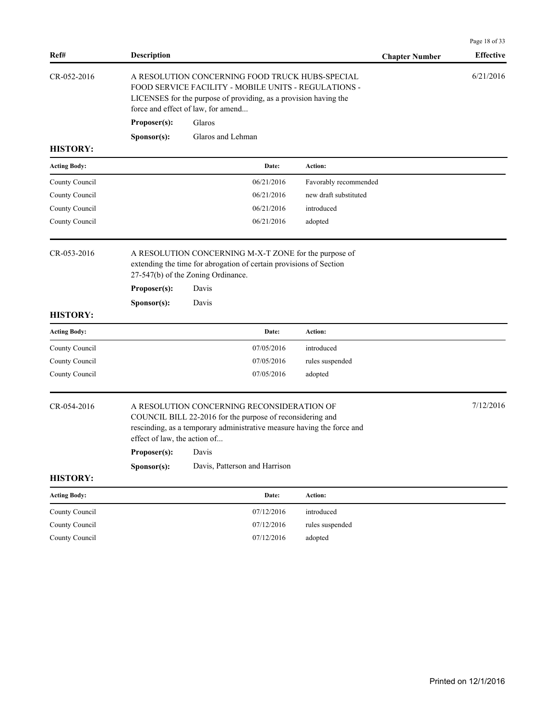| Ref#                | <b>Description</b> |                                                                                                                                                                                                                            |                       | <b>Chapter Number</b> | <b>Effective</b> |  |
|---------------------|--------------------|----------------------------------------------------------------------------------------------------------------------------------------------------------------------------------------------------------------------------|-----------------------|-----------------------|------------------|--|
| CR-052-2016         |                    | A RESOLUTION CONCERNING FOOD TRUCK HUBS-SPECIAL<br>FOOD SERVICE FACILITY - MOBILE UNITS - REGULATIONS -<br>LICENSES for the purpose of providing, as a provision having the<br>force and effect of law, for amend          |                       |                       |                  |  |
|                     | Proposer(s):       | Glaros                                                                                                                                                                                                                     |                       |                       |                  |  |
|                     | Sponsor(s):        | Glaros and Lehman                                                                                                                                                                                                          |                       |                       |                  |  |
| <b>HISTORY:</b>     |                    |                                                                                                                                                                                                                            |                       |                       |                  |  |
| <b>Acting Body:</b> |                    | Date:                                                                                                                                                                                                                      | Action:               |                       |                  |  |
| County Council      |                    | 06/21/2016                                                                                                                                                                                                                 | Favorably recommended |                       |                  |  |
| County Council      |                    | 06/21/2016                                                                                                                                                                                                                 | new draft substituted |                       |                  |  |
| County Council      |                    | 06/21/2016                                                                                                                                                                                                                 | introduced            |                       |                  |  |
| County Council      |                    | 06/21/2016                                                                                                                                                                                                                 | adopted               |                       |                  |  |
| CR-053-2016         |                    | A RESOLUTION CONCERNING M-X-T ZONE for the purpose of<br>extending the time for abrogation of certain provisions of Section<br>27-547(b) of the Zoning Ordinance.                                                          |                       |                       |                  |  |
|                     | Proposer(s):       | Davis                                                                                                                                                                                                                      |                       |                       |                  |  |
|                     | Sponsor(s):        | Davis                                                                                                                                                                                                                      |                       |                       |                  |  |
| <b>HISTORY:</b>     |                    |                                                                                                                                                                                                                            |                       |                       |                  |  |
| <b>Acting Body:</b> |                    | Date:                                                                                                                                                                                                                      | <b>Action:</b>        |                       |                  |  |
| County Council      |                    | 07/05/2016                                                                                                                                                                                                                 | introduced            |                       |                  |  |
| County Council      |                    | 07/05/2016                                                                                                                                                                                                                 | rules suspended       |                       |                  |  |
| County Council      |                    | 07/05/2016                                                                                                                                                                                                                 | adopted               |                       |                  |  |
| CR-054-2016         | Proposer(s):       | A RESOLUTION CONCERNING RECONSIDERATION OF<br>COUNCIL BILL 22-2016 for the purpose of reconsidering and<br>rescinding, as a temporary administrative measure having the force and<br>effect of law, the action of<br>Davis |                       |                       |                  |  |
|                     | Sponsor(s):        | Davis, Patterson and Harrison                                                                                                                                                                                              |                       |                       |                  |  |
| <b>HISTORY:</b>     |                    |                                                                                                                                                                                                                            |                       |                       |                  |  |
| <b>Acting Body:</b> |                    | Date:                                                                                                                                                                                                                      | Action:               |                       |                  |  |
| County Council      |                    | 07/12/2016                                                                                                                                                                                                                 | introduced            |                       |                  |  |
| County Council      |                    | 07/12/2016                                                                                                                                                                                                                 | rules suspended       |                       |                  |  |
| County Council      |                    | 07/12/2016                                                                                                                                                                                                                 | adopted               |                       |                  |  |
|                     |                    |                                                                                                                                                                                                                            |                       |                       |                  |  |

Page 18 of 33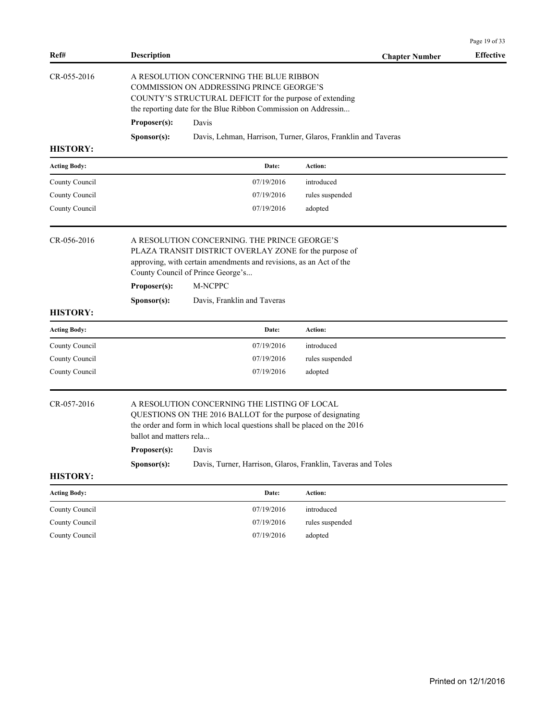|                                  |                                                                                                                                                                                                                                                                                                                           |                                                                                                                                                                                                                                                                                    | Page 19 of 33    |  |  |  |  |
|----------------------------------|---------------------------------------------------------------------------------------------------------------------------------------------------------------------------------------------------------------------------------------------------------------------------------------------------------------------------|------------------------------------------------------------------------------------------------------------------------------------------------------------------------------------------------------------------------------------------------------------------------------------|------------------|--|--|--|--|
| Ref#                             | <b>Description</b>                                                                                                                                                                                                                                                                                                        | <b>Chapter Number</b>                                                                                                                                                                                                                                                              | <b>Effective</b> |  |  |  |  |
| CR-055-2016                      | Proposer(s):<br>Davis<br>Sponsor(s):                                                                                                                                                                                                                                                                                      | A RESOLUTION CONCERNING THE BLUE RIBBON<br>COMMISSION ON ADDRESSING PRINCE GEORGE'S<br>COUNTY'S STRUCTURAL DEFICIT for the purpose of extending<br>the reporting date for the Blue Ribbon Commission on Addressin<br>Davis, Lehman, Harrison, Turner, Glaros, Franklin and Taveras |                  |  |  |  |  |
| <b>HISTORY:</b>                  |                                                                                                                                                                                                                                                                                                                           |                                                                                                                                                                                                                                                                                    |                  |  |  |  |  |
| <b>Acting Body:</b>              | Date:                                                                                                                                                                                                                                                                                                                     | <b>Action:</b>                                                                                                                                                                                                                                                                     |                  |  |  |  |  |
| County Council                   | 07/19/2016                                                                                                                                                                                                                                                                                                                | introduced                                                                                                                                                                                                                                                                         |                  |  |  |  |  |
| County Council<br>County Council | 07/19/2016<br>07/19/2016                                                                                                                                                                                                                                                                                                  | rules suspended<br>adopted                                                                                                                                                                                                                                                         |                  |  |  |  |  |
| CR-056-2016<br><b>HISTORY:</b>   | A RESOLUTION CONCERNING. THE PRINCE GEORGE'S<br>PLAZA TRANSIT DISTRICT OVERLAY ZONE for the purpose of<br>approving, with certain amendments and revisions, as an Act of the<br>County Council of Prince George's<br>M-NCPPC<br>Proposer(s):<br>Sponsor(s):<br>Davis, Franklin and Taveras                                |                                                                                                                                                                                                                                                                                    |                  |  |  |  |  |
| <b>Acting Body:</b>              | Date:                                                                                                                                                                                                                                                                                                                     | <b>Action:</b>                                                                                                                                                                                                                                                                     |                  |  |  |  |  |
| County Council                   | 07/19/2016                                                                                                                                                                                                                                                                                                                | introduced                                                                                                                                                                                                                                                                         |                  |  |  |  |  |
| County Council                   | 07/19/2016                                                                                                                                                                                                                                                                                                                | rules suspended                                                                                                                                                                                                                                                                    |                  |  |  |  |  |
| County Council                   | 07/19/2016                                                                                                                                                                                                                                                                                                                | adopted                                                                                                                                                                                                                                                                            |                  |  |  |  |  |
| CR-057-2016<br><b>HISTORY:</b>   | A RESOLUTION CONCERNING THE LISTING OF LOCAL<br>QUESTIONS ON THE 2016 BALLOT for the purpose of designating<br>the order and form in which local questions shall be placed on the 2016<br>ballot and matters rela<br>Proposer(s):<br>Davis<br>Sponsor(s):<br>Davis, Turner, Harrison, Glaros, Franklin, Taveras and Toles |                                                                                                                                                                                                                                                                                    |                  |  |  |  |  |
|                                  |                                                                                                                                                                                                                                                                                                                           |                                                                                                                                                                                                                                                                                    |                  |  |  |  |  |
| <b>Acting Body:</b>              | Date:                                                                                                                                                                                                                                                                                                                     | <b>Action:</b>                                                                                                                                                                                                                                                                     |                  |  |  |  |  |
| County Council<br>County Council | 07/19/2016<br>07/19/2016                                                                                                                                                                                                                                                                                                  | introduced<br>rules suspended                                                                                                                                                                                                                                                      |                  |  |  |  |  |
| County Council                   | 07/19/2016                                                                                                                                                                                                                                                                                                                | adopted                                                                                                                                                                                                                                                                            |                  |  |  |  |  |
|                                  |                                                                                                                                                                                                                                                                                                                           |                                                                                                                                                                                                                                                                                    |                  |  |  |  |  |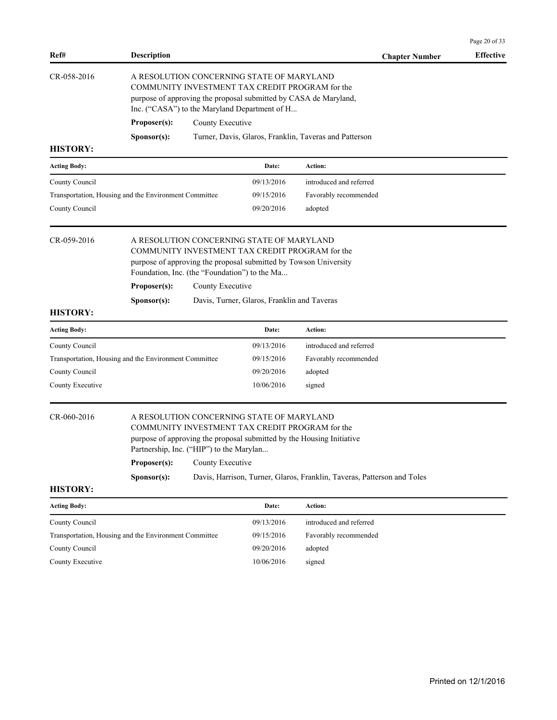|                                                       |                                                                                                                                                                                                                                                                                                                                                 |                                                                                                                                                                                                                   |                                             |                                                        | Page 20 of 33    |  |
|-------------------------------------------------------|-------------------------------------------------------------------------------------------------------------------------------------------------------------------------------------------------------------------------------------------------------------------------------------------------------------------------------------------------|-------------------------------------------------------------------------------------------------------------------------------------------------------------------------------------------------------------------|---------------------------------------------|--------------------------------------------------------|------------------|--|
| Ref#                                                  | <b>Description</b>                                                                                                                                                                                                                                                                                                                              |                                                                                                                                                                                                                   |                                             | <b>Chapter Number</b>                                  | <b>Effective</b> |  |
| CR-058-2016                                           |                                                                                                                                                                                                                                                                                                                                                 | A RESOLUTION CONCERNING STATE OF MARYLAND<br>COMMUNITY INVESTMENT TAX CREDIT PROGRAM for the<br>purpose of approving the proposal submitted by CASA de Maryland,<br>Inc. ("CASA") to the Maryland Department of H |                                             |                                                        |                  |  |
|                                                       | Proposer(s):                                                                                                                                                                                                                                                                                                                                    | County Executive                                                                                                                                                                                                  |                                             |                                                        |                  |  |
|                                                       | Sponsor(s):                                                                                                                                                                                                                                                                                                                                     |                                                                                                                                                                                                                   |                                             | Turner, Davis, Glaros, Franklin, Taveras and Patterson |                  |  |
| <b>HISTORY:</b>                                       |                                                                                                                                                                                                                                                                                                                                                 |                                                                                                                                                                                                                   |                                             |                                                        |                  |  |
| <b>Acting Body:</b>                                   |                                                                                                                                                                                                                                                                                                                                                 |                                                                                                                                                                                                                   | Date:                                       | Action:                                                |                  |  |
| County Council                                        |                                                                                                                                                                                                                                                                                                                                                 |                                                                                                                                                                                                                   | 09/13/2016                                  | introduced and referred                                |                  |  |
| Transportation, Housing and the Environment Committee |                                                                                                                                                                                                                                                                                                                                                 |                                                                                                                                                                                                                   | 09/15/2016                                  | Favorably recommended                                  |                  |  |
| County Council                                        |                                                                                                                                                                                                                                                                                                                                                 |                                                                                                                                                                                                                   | 09/20/2016                                  | adopted                                                |                  |  |
| CR-059-2016                                           | A RESOLUTION CONCERNING STATE OF MARYLAND<br>COMMUNITY INVESTMENT TAX CREDIT PROGRAM for the<br>purpose of approving the proposal submitted by Towson University<br>Foundation, Inc. (the "Foundation") to the Ma                                                                                                                               |                                                                                                                                                                                                                   |                                             |                                                        |                  |  |
|                                                       | Proposer(s):                                                                                                                                                                                                                                                                                                                                    | County Executive                                                                                                                                                                                                  |                                             |                                                        |                  |  |
| <b>HISTORY:</b>                                       | Sponsor(s):                                                                                                                                                                                                                                                                                                                                     |                                                                                                                                                                                                                   | Davis, Turner, Glaros, Franklin and Taveras |                                                        |                  |  |
| <b>Acting Body:</b>                                   |                                                                                                                                                                                                                                                                                                                                                 |                                                                                                                                                                                                                   | Date:                                       | Action:                                                |                  |  |
| County Council                                        |                                                                                                                                                                                                                                                                                                                                                 |                                                                                                                                                                                                                   | 09/13/2016                                  | introduced and referred                                |                  |  |
| Transportation, Housing and the Environment Committee |                                                                                                                                                                                                                                                                                                                                                 |                                                                                                                                                                                                                   | 09/15/2016                                  | Favorably recommended                                  |                  |  |
| County Council                                        |                                                                                                                                                                                                                                                                                                                                                 |                                                                                                                                                                                                                   | 09/20/2016                                  | adopted                                                |                  |  |
| County Executive                                      |                                                                                                                                                                                                                                                                                                                                                 |                                                                                                                                                                                                                   | 10/06/2016                                  | signed                                                 |                  |  |
| CR-060-2016<br><b>HISTORY:</b>                        | A RESOLUTION CONCERNING STATE OF MARYLAND<br>COMMUNITY INVESTMENT TAX CREDIT PROGRAM for the<br>purpose of approving the proposal submitted by the Housing Initiative<br>Partnership, Inc. ("HIP") to the Marylan<br>Proposer(s):<br>County Executive<br>Sponsor(s):<br>Davis, Harrison, Turner, Glaros, Franklin, Taveras, Patterson and Toles |                                                                                                                                                                                                                   |                                             |                                                        |                  |  |
| <b>Acting Body:</b>                                   |                                                                                                                                                                                                                                                                                                                                                 |                                                                                                                                                                                                                   | Date:                                       | Action:                                                |                  |  |
| County Council                                        |                                                                                                                                                                                                                                                                                                                                                 |                                                                                                                                                                                                                   | 09/13/2016                                  | introduced and referred                                |                  |  |
| Transportation, Housing and the Environment Committee |                                                                                                                                                                                                                                                                                                                                                 |                                                                                                                                                                                                                   | 09/15/2016                                  | Favorably recommended                                  |                  |  |
| County Council                                        |                                                                                                                                                                                                                                                                                                                                                 |                                                                                                                                                                                                                   | 09/20/2016                                  | adopted                                                |                  |  |
| County Executive                                      |                                                                                                                                                                                                                                                                                                                                                 |                                                                                                                                                                                                                   | 10/06/2016                                  | signed                                                 |                  |  |
|                                                       |                                                                                                                                                                                                                                                                                                                                                 |                                                                                                                                                                                                                   |                                             |                                                        |                  |  |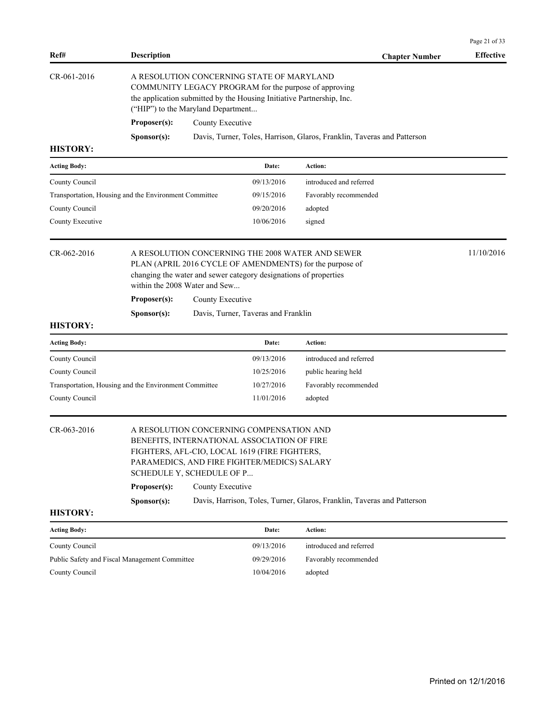|                                                       |                                                                                                                                                                                                                                                                                                                           |                                                      |                                                                         | Page 21 of 33    |  |  |
|-------------------------------------------------------|---------------------------------------------------------------------------------------------------------------------------------------------------------------------------------------------------------------------------------------------------------------------------------------------------------------------------|------------------------------------------------------|-------------------------------------------------------------------------|------------------|--|--|
| Ref#                                                  | <b>Description</b>                                                                                                                                                                                                                                                                                                        |                                                      | <b>Chapter Number</b>                                                   | <b>Effective</b> |  |  |
| CR-061-2016                                           | A RESOLUTION CONCERNING STATE OF MARYLAND<br>COMMUNITY LEGACY PROGRAM for the purpose of approving<br>the application submitted by the Housing Initiative Partnership, Inc.<br>("HIP") to the Maryland Department<br>Proposer(s):<br>County Executive                                                                     |                                                      |                                                                         |                  |  |  |
| <b>HISTORY:</b>                                       | Sponsor(s):                                                                                                                                                                                                                                                                                                               |                                                      | Davis, Turner, Toles, Harrison, Glaros, Franklin, Taveras and Patterson |                  |  |  |
| <b>Acting Body:</b>                                   |                                                                                                                                                                                                                                                                                                                           | Date:                                                | <b>Action:</b>                                                          |                  |  |  |
| County Council<br>County Council<br>County Executive  | Transportation, Housing and the Environment Committee                                                                                                                                                                                                                                                                     | 09/13/2016<br>09/15/2016<br>09/20/2016<br>10/06/2016 | introduced and referred<br>Favorably recommended<br>adopted<br>signed   |                  |  |  |
| CR-062-2016                                           | 11/10/2016<br>A RESOLUTION CONCERNING THE 2008 WATER AND SEWER<br>PLAN (APRIL 2016 CYCLE OF AMENDMENTS) for the purpose of<br>changing the water and sewer category designations of properties<br>within the 2008 Water and Sew<br>Proposer(s):<br>County Executive<br>Davis, Turner, Taveras and Franklin<br>Sponsor(s): |                                                      |                                                                         |                  |  |  |
| <b>HISTORY:</b>                                       |                                                                                                                                                                                                                                                                                                                           |                                                      |                                                                         |                  |  |  |
| <b>Acting Body:</b>                                   |                                                                                                                                                                                                                                                                                                                           | Date:                                                | Action:                                                                 |                  |  |  |
| County Council                                        |                                                                                                                                                                                                                                                                                                                           | 09/13/2016                                           | introduced and referred                                                 |                  |  |  |
| County Council                                        |                                                                                                                                                                                                                                                                                                                           | 10/25/2016                                           | public hearing held                                                     |                  |  |  |
| Transportation, Housing and the Environment Committee |                                                                                                                                                                                                                                                                                                                           | 10/27/2016                                           | Favorably recommended                                                   |                  |  |  |
| County Council                                        |                                                                                                                                                                                                                                                                                                                           | 11/01/2016                                           | adopted                                                                 |                  |  |  |
| CR-063-2016                                           | A RESOLUTION CONCERNING COMPENSATION AND<br>BENEFITS, INTERNATIONAL ASSOCIATION OF FIRE<br>FIGHTERS, AFL-CIO, LOCAL 1619 (FIRE FIGHTERS,<br>PARAMEDICS, AND FIRE FIGHTER/MEDICS) SALARY<br>SCHEDULE Y, SCHEDULE OF P                                                                                                      |                                                      |                                                                         |                  |  |  |
|                                                       | County Executive<br>Proposer(s):                                                                                                                                                                                                                                                                                          |                                                      |                                                                         |                  |  |  |
| <b>HISTORY:</b>                                       | Sponsor(s):                                                                                                                                                                                                                                                                                                               |                                                      | Davis, Harrison, Toles, Turner, Glaros, Franklin, Taveras and Patterson |                  |  |  |
| <b>Acting Body:</b>                                   |                                                                                                                                                                                                                                                                                                                           | Date:                                                | Action:                                                                 |                  |  |  |
| County Council                                        |                                                                                                                                                                                                                                                                                                                           | 09/13/2016                                           | introduced and referred                                                 |                  |  |  |
| Public Safety and Fiscal Management Committee         |                                                                                                                                                                                                                                                                                                                           | 09/29/2016                                           | Favorably recommended                                                   |                  |  |  |

County Council 10/04/2016 adopted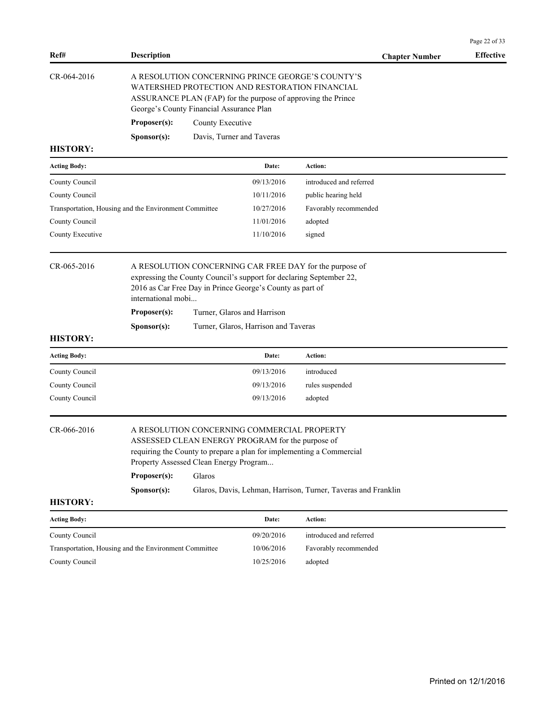| Ref#                                                  | <b>Description</b>                                                                                                                                                                                                                                                                                                          |                                          |                                                                                                                                                                    | <b>Chapter Number</b>                                               | <b>Effective</b> |  |
|-------------------------------------------------------|-----------------------------------------------------------------------------------------------------------------------------------------------------------------------------------------------------------------------------------------------------------------------------------------------------------------------------|------------------------------------------|--------------------------------------------------------------------------------------------------------------------------------------------------------------------|---------------------------------------------------------------------|------------------|--|
| CR-064-2016                                           |                                                                                                                                                                                                                                                                                                                             | George's County Financial Assurance Plan | A RESOLUTION CONCERNING PRINCE GEORGE'S COUNTY'S<br>WATERSHED PROTECTION AND RESTORATION FINANCIAL<br>ASSURANCE PLAN (FAP) for the purpose of approving the Prince |                                                                     |                  |  |
|                                                       | Proposer(s):                                                                                                                                                                                                                                                                                                                | County Executive                         |                                                                                                                                                                    |                                                                     |                  |  |
|                                                       | Sponsor(s):                                                                                                                                                                                                                                                                                                                 |                                          | Davis, Turner and Taveras                                                                                                                                          |                                                                     |                  |  |
| <b>HISTORY:</b>                                       |                                                                                                                                                                                                                                                                                                                             |                                          |                                                                                                                                                                    |                                                                     |                  |  |
| <b>Acting Body:</b>                                   |                                                                                                                                                                                                                                                                                                                             |                                          | Date:                                                                                                                                                              | Action:                                                             |                  |  |
| County Council                                        |                                                                                                                                                                                                                                                                                                                             |                                          | 09/13/2016                                                                                                                                                         | introduced and referred                                             |                  |  |
| County Council                                        |                                                                                                                                                                                                                                                                                                                             |                                          | 10/11/2016                                                                                                                                                         | public hearing held                                                 |                  |  |
| Transportation, Housing and the Environment Committee |                                                                                                                                                                                                                                                                                                                             |                                          | 10/27/2016                                                                                                                                                         | Favorably recommended                                               |                  |  |
| County Council                                        |                                                                                                                                                                                                                                                                                                                             |                                          | 11/01/2016                                                                                                                                                         | adopted                                                             |                  |  |
| County Executive                                      |                                                                                                                                                                                                                                                                                                                             |                                          | 11/10/2016                                                                                                                                                         | signed                                                              |                  |  |
| <b>HISTORY:</b>                                       | international mobi<br>Proposer(s):<br>Sponsor(s):                                                                                                                                                                                                                                                                           |                                          | 2016 as Car Free Day in Prince George's County as part of<br>Turner, Glaros and Harrison<br>Turner, Glaros, Harrison and Taveras                                   | expressing the County Council's support for declaring September 22, |                  |  |
| <b>Acting Body:</b>                                   |                                                                                                                                                                                                                                                                                                                             |                                          | Date:                                                                                                                                                              | <b>Action:</b>                                                      |                  |  |
| County Council                                        |                                                                                                                                                                                                                                                                                                                             |                                          | 09/13/2016                                                                                                                                                         | introduced                                                          |                  |  |
| County Council                                        |                                                                                                                                                                                                                                                                                                                             |                                          | 09/13/2016                                                                                                                                                         | rules suspended                                                     |                  |  |
| County Council                                        |                                                                                                                                                                                                                                                                                                                             |                                          | 09/13/2016                                                                                                                                                         | adopted                                                             |                  |  |
| CR-066-2016                                           | A RESOLUTION CONCERNING COMMERCIAL PROPERTY<br>ASSESSED CLEAN ENERGY PROGRAM for the purpose of<br>requiring the County to prepare a plan for implementing a Commercial<br>Property Assessed Clean Energy Program<br>Glaros<br>Proposer(s):<br>Glaros, Davis, Lehman, Harrison, Turner, Taveras and Franklin<br>Sponsor(s): |                                          |                                                                                                                                                                    |                                                                     |                  |  |
| <b>HISTORY:</b>                                       |                                                                                                                                                                                                                                                                                                                             |                                          |                                                                                                                                                                    |                                                                     |                  |  |
| <b>Acting Body:</b>                                   |                                                                                                                                                                                                                                                                                                                             |                                          | Date:                                                                                                                                                              | Action:                                                             |                  |  |
| County Council                                        |                                                                                                                                                                                                                                                                                                                             |                                          | 09/20/2016                                                                                                                                                         | introduced and referred                                             |                  |  |
| Transportation, Housing and the Environment Committee |                                                                                                                                                                                                                                                                                                                             |                                          | 10/06/2016                                                                                                                                                         | Favorably recommended                                               |                  |  |

County Council 20025/2016 adopted

Page 22 of 33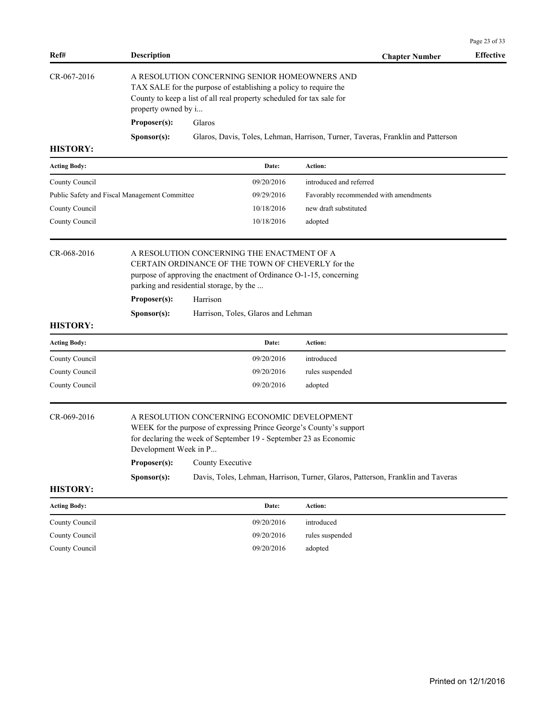| Ref#                | <b>Description</b>                                                                                                                                                                                                                                    |                                                                                                                                                                                                                              | <b>Chapter Number</b>                                                           | <b>Effective</b> |  |
|---------------------|-------------------------------------------------------------------------------------------------------------------------------------------------------------------------------------------------------------------------------------------------------|------------------------------------------------------------------------------------------------------------------------------------------------------------------------------------------------------------------------------|---------------------------------------------------------------------------------|------------------|--|
| CR-067-2016         | property owned by i                                                                                                                                                                                                                                   | A RESOLUTION CONCERNING SENIOR HOMEOWNERS AND<br>TAX SALE for the purpose of establishing a policy to require the<br>County to keep a list of all real property scheduled for tax sale for                                   |                                                                                 |                  |  |
|                     | Proposer(s):                                                                                                                                                                                                                                          | Glaros                                                                                                                                                                                                                       |                                                                                 |                  |  |
|                     | Sponsor(s):                                                                                                                                                                                                                                           |                                                                                                                                                                                                                              | Glaros, Davis, Toles, Lehman, Harrison, Turner, Taveras, Franklin and Patterson |                  |  |
| <b>HISTORY:</b>     |                                                                                                                                                                                                                                                       |                                                                                                                                                                                                                              |                                                                                 |                  |  |
| <b>Acting Body:</b> |                                                                                                                                                                                                                                                       | Date:                                                                                                                                                                                                                        | Action:                                                                         |                  |  |
| County Council      |                                                                                                                                                                                                                                                       | 09/20/2016                                                                                                                                                                                                                   | introduced and referred                                                         |                  |  |
|                     | Public Safety and Fiscal Management Committee                                                                                                                                                                                                         | 09/29/2016                                                                                                                                                                                                                   | Favorably recommended with amendments                                           |                  |  |
| County Council      |                                                                                                                                                                                                                                                       | 10/18/2016                                                                                                                                                                                                                   | new draft substituted                                                           |                  |  |
| County Council      |                                                                                                                                                                                                                                                       | 10/18/2016                                                                                                                                                                                                                   | adopted                                                                         |                  |  |
| CR-068-2016         | Proposer(s):                                                                                                                                                                                                                                          | A RESOLUTION CONCERNING THE ENACTMENT OF A<br>CERTAIN ORDINANCE OF THE TOWN OF CHEVERLY for the<br>purpose of approving the enactment of Ordinance O-1-15, concerning<br>parking and residential storage, by the<br>Harrison |                                                                                 |                  |  |
| <b>HISTORY:</b>     | Sponsor(s):                                                                                                                                                                                                                                           | Harrison, Toles, Glaros and Lehman                                                                                                                                                                                           |                                                                                 |                  |  |
| <b>Acting Body:</b> |                                                                                                                                                                                                                                                       | Date:                                                                                                                                                                                                                        | Action:                                                                         |                  |  |
| County Council      |                                                                                                                                                                                                                                                       | 09/20/2016                                                                                                                                                                                                                   | introduced                                                                      |                  |  |
| County Council      |                                                                                                                                                                                                                                                       | 09/20/2016                                                                                                                                                                                                                   | rules suspended                                                                 |                  |  |
| County Council      |                                                                                                                                                                                                                                                       | 09/20/2016                                                                                                                                                                                                                   | adopted                                                                         |                  |  |
| CR-069-2016         | A RESOLUTION CONCERNING ECONOMIC DEVELOPMENT<br>WEEK for the purpose of expressing Prince George's County's support<br>for declaring the week of September 19 - September 23 as Economic<br>Development Week in P<br>Proposer(s):<br>County Executive |                                                                                                                                                                                                                              |                                                                                 |                  |  |
|                     | Sponsor(s):                                                                                                                                                                                                                                           |                                                                                                                                                                                                                              | Davis, Toles, Lehman, Harrison, Turner, Glaros, Patterson, Franklin and Taveras |                  |  |
| <b>HISTORY:</b>     |                                                                                                                                                                                                                                                       |                                                                                                                                                                                                                              |                                                                                 |                  |  |
| <b>Acting Body:</b> |                                                                                                                                                                                                                                                       | Date:                                                                                                                                                                                                                        | Action:                                                                         |                  |  |
| County Council      |                                                                                                                                                                                                                                                       | 09/20/2016                                                                                                                                                                                                                   | introduced                                                                      |                  |  |
| County Council      |                                                                                                                                                                                                                                                       | 09/20/2016                                                                                                                                                                                                                   | rules suspended                                                                 |                  |  |
| County Council      |                                                                                                                                                                                                                                                       | 09/20/2016                                                                                                                                                                                                                   | adopted                                                                         |                  |  |

Page 23 of 33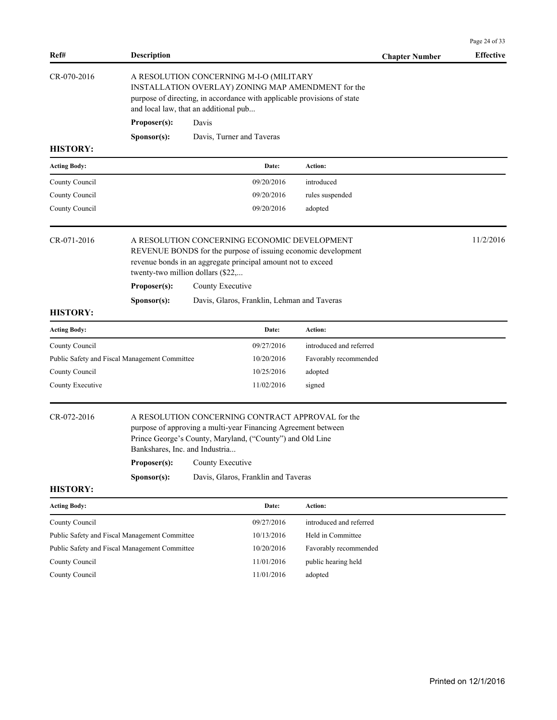| Ref#                                          | <b>Description</b>                                                                                                                                                                                                                                                                                          |                                                                                                                                                   |                                                                                                                               | <b>Chapter Number</b>                                         | <b>Effective</b> |  |
|-----------------------------------------------|-------------------------------------------------------------------------------------------------------------------------------------------------------------------------------------------------------------------------------------------------------------------------------------------------------------|---------------------------------------------------------------------------------------------------------------------------------------------------|-------------------------------------------------------------------------------------------------------------------------------|---------------------------------------------------------------|------------------|--|
| CR-070-2016                                   |                                                                                                                                                                                                                                                                                                             | A RESOLUTION CONCERNING M-I-O (MILITARY<br>and local law, that an additional pub                                                                  | INSTALLATION OVERLAY) ZONING MAP AMENDMENT for the<br>purpose of directing, in accordance with applicable provisions of state |                                                               |                  |  |
|                                               | Proposer(s):                                                                                                                                                                                                                                                                                                | Davis                                                                                                                                             |                                                                                                                               |                                                               |                  |  |
|                                               | Sponsor(s):                                                                                                                                                                                                                                                                                                 | Davis, Turner and Taveras                                                                                                                         |                                                                                                                               |                                                               |                  |  |
| <b>HISTORY:</b>                               |                                                                                                                                                                                                                                                                                                             |                                                                                                                                                   |                                                                                                                               |                                                               |                  |  |
| <b>Acting Body:</b>                           |                                                                                                                                                                                                                                                                                                             |                                                                                                                                                   | Date:                                                                                                                         | Action:                                                       |                  |  |
| County Council                                |                                                                                                                                                                                                                                                                                                             |                                                                                                                                                   | 09/20/2016                                                                                                                    | introduced                                                    |                  |  |
| County Council                                |                                                                                                                                                                                                                                                                                                             |                                                                                                                                                   | 09/20/2016                                                                                                                    | rules suspended                                               |                  |  |
| County Council                                |                                                                                                                                                                                                                                                                                                             |                                                                                                                                                   | 09/20/2016                                                                                                                    | adopted                                                       |                  |  |
| CR-071-2016                                   |                                                                                                                                                                                                                                                                                                             | A RESOLUTION CONCERNING ECONOMIC DEVELOPMENT<br>revenue bonds in an aggregate principal amount not to exceed<br>twenty-two million dollars (\$22, |                                                                                                                               | REVENUE BONDS for the purpose of issuing economic development | 11/2/2016        |  |
|                                               | Proposer(s):                                                                                                                                                                                                                                                                                                | County Executive                                                                                                                                  |                                                                                                                               |                                                               |                  |  |
|                                               | Sponsor(s):                                                                                                                                                                                                                                                                                                 |                                                                                                                                                   | Davis, Glaros, Franklin, Lehman and Taveras                                                                                   |                                                               |                  |  |
| <b>HISTORY:</b>                               |                                                                                                                                                                                                                                                                                                             |                                                                                                                                                   |                                                                                                                               |                                                               |                  |  |
| <b>Acting Body:</b>                           |                                                                                                                                                                                                                                                                                                             |                                                                                                                                                   | Date:                                                                                                                         | <b>Action:</b>                                                |                  |  |
| County Council                                |                                                                                                                                                                                                                                                                                                             |                                                                                                                                                   | 09/27/2016                                                                                                                    | introduced and referred                                       |                  |  |
| Public Safety and Fiscal Management Committee |                                                                                                                                                                                                                                                                                                             |                                                                                                                                                   | 10/20/2016                                                                                                                    | Favorably recommended                                         |                  |  |
| County Council                                |                                                                                                                                                                                                                                                                                                             |                                                                                                                                                   | 10/25/2016                                                                                                                    | adopted                                                       |                  |  |
| County Executive                              |                                                                                                                                                                                                                                                                                                             |                                                                                                                                                   | 11/02/2016                                                                                                                    | signed                                                        |                  |  |
| CR-072-2016                                   | A RESOLUTION CONCERNING CONTRACT APPROVAL for the<br>purpose of approving a multi-year Financing Agreement between<br>Prince George's County, Maryland, ("County") and Old Line<br>Bankshares, Inc. and Industria<br>Proposer(s):<br>County Executive<br>Sponsor(s):<br>Davis, Glaros, Franklin and Taveras |                                                                                                                                                   |                                                                                                                               |                                                               |                  |  |
| <b>HISTORY:</b>                               |                                                                                                                                                                                                                                                                                                             |                                                                                                                                                   |                                                                                                                               |                                                               |                  |  |
| <b>Acting Body:</b>                           |                                                                                                                                                                                                                                                                                                             |                                                                                                                                                   | Date:                                                                                                                         | Action:                                                       |                  |  |
| County Council                                |                                                                                                                                                                                                                                                                                                             |                                                                                                                                                   | 09/27/2016                                                                                                                    | introduced and referred                                       |                  |  |
| Public Safety and Fiscal Management Committee |                                                                                                                                                                                                                                                                                                             |                                                                                                                                                   | 10/13/2016                                                                                                                    | Held in Committee                                             |                  |  |
| Public Safety and Fiscal Management Committee |                                                                                                                                                                                                                                                                                                             |                                                                                                                                                   | 10/20/2016                                                                                                                    | Favorably recommended                                         |                  |  |
| County Council                                |                                                                                                                                                                                                                                                                                                             |                                                                                                                                                   | 11/01/2016                                                                                                                    | public hearing held                                           |                  |  |
| County Council                                |                                                                                                                                                                                                                                                                                                             |                                                                                                                                                   | 11/01/2016                                                                                                                    | adopted                                                       |                  |  |

Page 24 of 33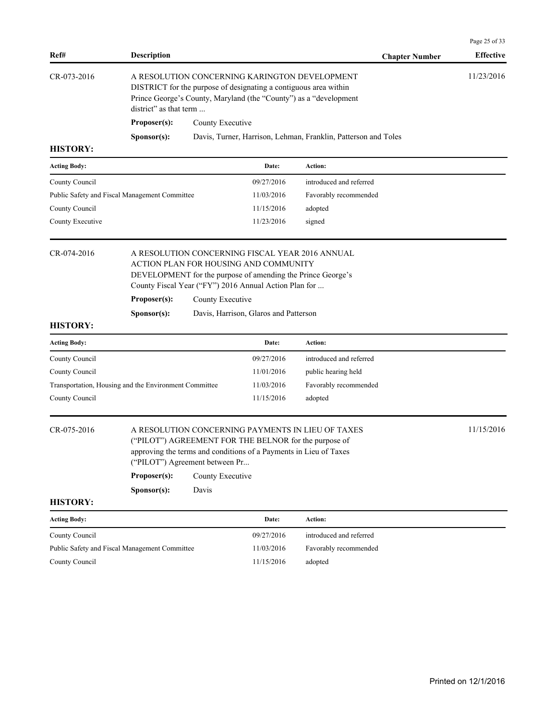| Ref#                                                  | <b>Description</b>                                                                                                                                                                                                                                   |                  |                                                                                                                            | <b>Chapter Number</b>                                          | <b>Effective</b> |  |
|-------------------------------------------------------|------------------------------------------------------------------------------------------------------------------------------------------------------------------------------------------------------------------------------------------------------|------------------|----------------------------------------------------------------------------------------------------------------------------|----------------------------------------------------------------|------------------|--|
| CR-073-2016                                           | A RESOLUTION CONCERNING KARINGTON DEVELOPMENT<br>DISTRICT for the purpose of designating a contiguous area within<br>Prince George's County, Maryland (the "County") as a "development<br>district" as that term                                     | 11/23/2016       |                                                                                                                            |                                                                |                  |  |
|                                                       | Proposer(s):                                                                                                                                                                                                                                         | County Executive |                                                                                                                            |                                                                |                  |  |
|                                                       | S <b>p</b> onsor(s):                                                                                                                                                                                                                                 |                  |                                                                                                                            | Davis, Turner, Harrison, Lehman, Franklin, Patterson and Toles |                  |  |
| <b>HISTORY:</b>                                       |                                                                                                                                                                                                                                                      |                  |                                                                                                                            |                                                                |                  |  |
| <b>Acting Body:</b>                                   |                                                                                                                                                                                                                                                      |                  | Date:                                                                                                                      | Action:                                                        |                  |  |
| County Council                                        |                                                                                                                                                                                                                                                      |                  | 09/27/2016                                                                                                                 | introduced and referred                                        |                  |  |
| Public Safety and Fiscal Management Committee         |                                                                                                                                                                                                                                                      |                  | 11/03/2016                                                                                                                 | Favorably recommended                                          |                  |  |
| County Council                                        |                                                                                                                                                                                                                                                      |                  | 11/15/2016                                                                                                                 | adopted                                                        |                  |  |
| County Executive                                      |                                                                                                                                                                                                                                                      |                  | 11/23/2016                                                                                                                 | signed                                                         |                  |  |
| CR-074-2016                                           | A RESOLUTION CONCERNING FISCAL YEAR 2016 ANNUAL<br>ACTION PLAN FOR HOUSING AND COMMUNITY<br>DEVELOPMENT for the purpose of amending the Prince George's<br>County Fiscal Year ("FY") 2016 Annual Action Plan for<br>Proposer(s):<br>County Executive |                  |                                                                                                                            |                                                                |                  |  |
|                                                       | Sponsor(s):                                                                                                                                                                                                                                          |                  | Davis, Harrison, Glaros and Patterson                                                                                      |                                                                |                  |  |
| <b>HISTORY:</b>                                       |                                                                                                                                                                                                                                                      |                  |                                                                                                                            |                                                                |                  |  |
| <b>Acting Body:</b>                                   |                                                                                                                                                                                                                                                      |                  | Date:                                                                                                                      | Action:                                                        |                  |  |
| County Council                                        |                                                                                                                                                                                                                                                      |                  | 09/27/2016                                                                                                                 | introduced and referred                                        |                  |  |
| County Council                                        |                                                                                                                                                                                                                                                      |                  | 11/01/2016                                                                                                                 | public hearing held                                            |                  |  |
| Transportation, Housing and the Environment Committee |                                                                                                                                                                                                                                                      |                  | 11/03/2016                                                                                                                 | Favorably recommended                                          |                  |  |
| County Council                                        |                                                                                                                                                                                                                                                      |                  | 11/15/2016                                                                                                                 | adopted                                                        |                  |  |
| CR-075-2016                                           | ("PILOT") Agreement between Pr                                                                                                                                                                                                                       |                  | ("PILOT") AGREEMENT FOR THE BELNOR for the purpose of<br>approving the terms and conditions of a Payments in Lieu of Taxes | A RESOLUTION CONCERNING PAYMENTS IN LIEU OF TAXES              | 11/15/2016       |  |
|                                                       | Proposer(s):                                                                                                                                                                                                                                         | County Executive |                                                                                                                            |                                                                |                  |  |
|                                                       | Sponsor(s):                                                                                                                                                                                                                                          | Davis            |                                                                                                                            |                                                                |                  |  |
| <b>HISTORY:</b>                                       |                                                                                                                                                                                                                                                      |                  |                                                                                                                            |                                                                |                  |  |
| <b>Acting Body:</b>                                   |                                                                                                                                                                                                                                                      |                  | Date:                                                                                                                      | Action:                                                        |                  |  |
| County Council                                        |                                                                                                                                                                                                                                                      |                  | 09/27/2016                                                                                                                 | introduced and referred                                        |                  |  |
| Public Safety and Fiscal Management Committee         |                                                                                                                                                                                                                                                      |                  | 11/03/2016                                                                                                                 | Favorably recommended                                          |                  |  |
| County Council                                        |                                                                                                                                                                                                                                                      |                  | 11/15/2016                                                                                                                 | adopted                                                        |                  |  |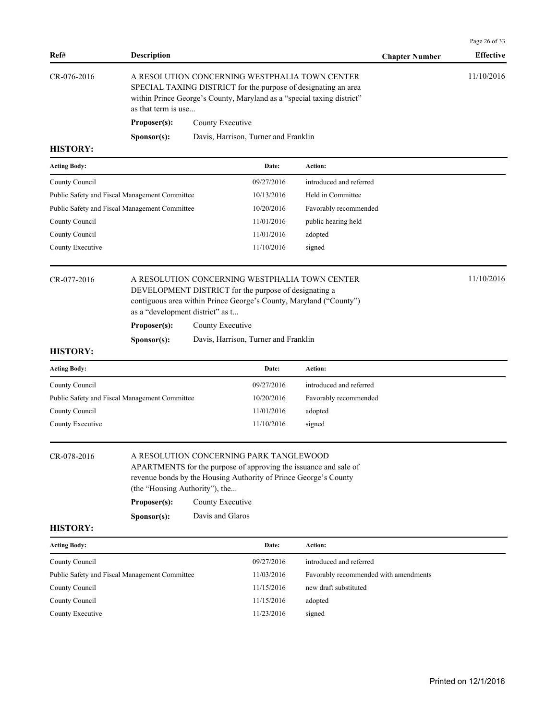| Ref#                | Description                                   |                  |                                                                                                                                                                                            | <b>Chapter Number</b>                                                                                                | <b>Effective</b> |  |
|---------------------|-----------------------------------------------|------------------|--------------------------------------------------------------------------------------------------------------------------------------------------------------------------------------------|----------------------------------------------------------------------------------------------------------------------|------------------|--|
| CR-076-2016         | as that term is use                           |                  | A RESOLUTION CONCERNING WESTPHALIA TOWN CENTER<br>SPECIAL TAXING DISTRICT for the purpose of designating an area<br>within Prince George's County, Maryland as a "special taxing district" | 11/10/2016                                                                                                           |                  |  |
|                     | Proposer(s):                                  | County Executive |                                                                                                                                                                                            |                                                                                                                      |                  |  |
|                     | Sponsor(s):                                   |                  | Davis, Harrison, Turner and Franklin                                                                                                                                                       |                                                                                                                      |                  |  |
| <b>HISTORY:</b>     |                                               |                  |                                                                                                                                                                                            |                                                                                                                      |                  |  |
| <b>Acting Body:</b> |                                               |                  | Date:                                                                                                                                                                                      | Action:                                                                                                              |                  |  |
| County Council      |                                               |                  | 09/27/2016                                                                                                                                                                                 | introduced and referred                                                                                              |                  |  |
|                     | Public Safety and Fiscal Management Committee |                  | 10/13/2016                                                                                                                                                                                 | Held in Committee                                                                                                    |                  |  |
|                     | Public Safety and Fiscal Management Committee |                  | 10/20/2016                                                                                                                                                                                 | Favorably recommended                                                                                                |                  |  |
| County Council      |                                               |                  | 11/01/2016                                                                                                                                                                                 | public hearing held                                                                                                  |                  |  |
| County Council      |                                               |                  | 11/01/2016                                                                                                                                                                                 | adopted                                                                                                              |                  |  |
| County Executive    |                                               |                  | 11/10/2016                                                                                                                                                                                 | signed                                                                                                               |                  |  |
| CR-077-2016         | as a "development district" as t              |                  | DEVELOPMENT DISTRICT for the purpose of designating a                                                                                                                                      | A RESOLUTION CONCERNING WESTPHALIA TOWN CENTER<br>contiguous area within Prince George's County, Maryland ("County") | 11/10/2016       |  |
|                     | Proposer(s):                                  | County Executive |                                                                                                                                                                                            |                                                                                                                      |                  |  |
|                     | Sponsor(s):                                   |                  | Davis, Harrison, Turner and Franklin                                                                                                                                                       |                                                                                                                      |                  |  |
| <b>HISTORY:</b>     |                                               |                  |                                                                                                                                                                                            |                                                                                                                      |                  |  |
| <b>Acting Body:</b> |                                               |                  | Date:                                                                                                                                                                                      | <b>Action:</b>                                                                                                       |                  |  |
| County Council      |                                               |                  | 09/27/2016                                                                                                                                                                                 | introduced and referred                                                                                              |                  |  |
|                     | Public Safety and Fiscal Management Committee |                  | 10/20/2016                                                                                                                                                                                 | Favorably recommended                                                                                                |                  |  |
| County Council      |                                               |                  | 11/01/2016                                                                                                                                                                                 | adopted                                                                                                              |                  |  |
| County Executive    |                                               |                  | 11/10/2016                                                                                                                                                                                 | signed                                                                                                               |                  |  |
| CR-078-2016         | (the "Housing Authority"), the                |                  | A RESOLUTION CONCERNING PARK TANGLEWOOD<br>revenue bonds by the Housing Authority of Prince George's County                                                                                | APARTMENTS for the purpose of approving the issuance and sale of                                                     |                  |  |
|                     | Proposer(s):                                  | County Executive |                                                                                                                                                                                            |                                                                                                                      |                  |  |
|                     | Sponsor(s):                                   | Davis and Glaros |                                                                                                                                                                                            |                                                                                                                      |                  |  |
| <b>HISTORY:</b>     |                                               |                  |                                                                                                                                                                                            |                                                                                                                      |                  |  |
| <b>Acting Body:</b> |                                               |                  | Date:                                                                                                                                                                                      | Action:                                                                                                              |                  |  |
| County Council      |                                               |                  | 09/27/2016                                                                                                                                                                                 | introduced and referred                                                                                              |                  |  |
|                     | Public Safety and Fiscal Management Committee |                  | 11/03/2016                                                                                                                                                                                 | Favorably recommended with amendments                                                                                |                  |  |
| County Council      |                                               |                  | 11/15/2016                                                                                                                                                                                 | new draft substituted                                                                                                |                  |  |
| County Council      |                                               |                  | 11/15/2016                                                                                                                                                                                 | adopted                                                                                                              |                  |  |
| County Executive    |                                               |                  | 11/23/2016                                                                                                                                                                                 | signed                                                                                                               |                  |  |

Page 26 of 33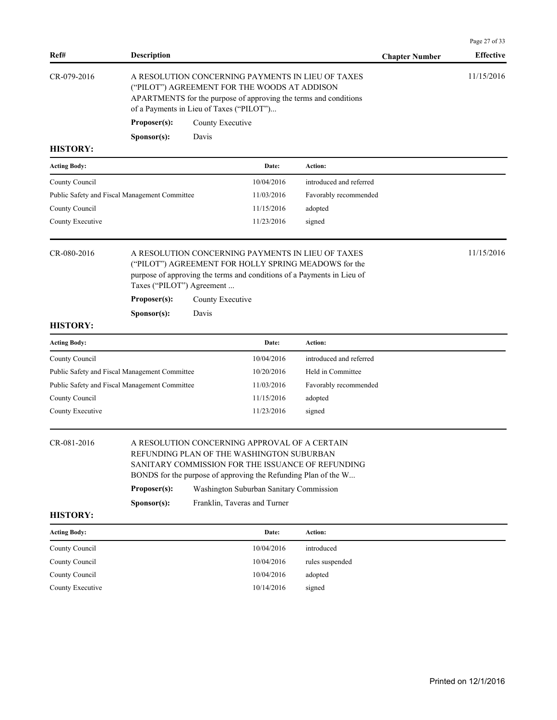| Ref#                | <b>Description</b>                            |                                                                                                                                                                                                                                                                                              |                         | <b>Chapter Number</b> | Page 27 of 33<br><b>Effective</b> |  |
|---------------------|-----------------------------------------------|----------------------------------------------------------------------------------------------------------------------------------------------------------------------------------------------------------------------------------------------------------------------------------------------|-------------------------|-----------------------|-----------------------------------|--|
| CR-079-2016         | Proposer(s):<br>Sponsor(s):                   | A RESOLUTION CONCERNING PAYMENTS IN LIEU OF TAXES<br>("PILOT") AGREEMENT FOR THE WOODS AT ADDISON<br>APARTMENTS for the purpose of approving the terms and conditions<br>of a Payments in Lieu of Taxes ("PILOT")<br>County Executive<br>Davis                                               |                         |                       | 11/15/2016                        |  |
| <b>HISTORY:</b>     |                                               |                                                                                                                                                                                                                                                                                              |                         |                       |                                   |  |
| <b>Acting Body:</b> |                                               | Date:                                                                                                                                                                                                                                                                                        | Action:                 |                       |                                   |  |
| County Council      |                                               | 10/04/2016                                                                                                                                                                                                                                                                                   | introduced and referred |                       |                                   |  |
|                     | Public Safety and Fiscal Management Committee | 11/03/2016                                                                                                                                                                                                                                                                                   | Favorably recommended   |                       |                                   |  |
| County Council      |                                               | 11/15/2016                                                                                                                                                                                                                                                                                   | adopted                 |                       |                                   |  |
| County Executive    |                                               | 11/23/2016                                                                                                                                                                                                                                                                                   | signed                  |                       |                                   |  |
| CR-080-2016         |                                               | A RESOLUTION CONCERNING PAYMENTS IN LIEU OF TAXES<br>("PILOT") AGREEMENT FOR HOLLY SPRING MEADOWS for the<br>purpose of approving the terms and conditions of a Payments in Lieu of<br>Taxes ("PILOT") Agreement                                                                             |                         |                       |                                   |  |
|                     | Proposer(s):                                  | County Executive                                                                                                                                                                                                                                                                             |                         |                       |                                   |  |
|                     | Sponsor(s):                                   | Davis                                                                                                                                                                                                                                                                                        |                         |                       |                                   |  |
| <b>HISTORY:</b>     |                                               |                                                                                                                                                                                                                                                                                              |                         |                       |                                   |  |
| <b>Acting Body:</b> |                                               | Date:                                                                                                                                                                                                                                                                                        | Action:                 |                       |                                   |  |
| County Council      |                                               | 10/04/2016                                                                                                                                                                                                                                                                                   | introduced and referred |                       |                                   |  |
|                     | Public Safety and Fiscal Management Committee | 10/20/2016                                                                                                                                                                                                                                                                                   | Held in Committee       |                       |                                   |  |
|                     | Public Safety and Fiscal Management Committee | 11/03/2016                                                                                                                                                                                                                                                                                   | Favorably recommended   |                       |                                   |  |
| County Council      |                                               | 11/15/2016                                                                                                                                                                                                                                                                                   | adopted                 |                       |                                   |  |
| County Executive    |                                               | 11/23/2016                                                                                                                                                                                                                                                                                   | signed                  |                       |                                   |  |
| CR-081-2016         | Proposer(s):<br>Sponsor(s):                   | A RESOLUTION CONCERNING APPROVAL OF A CERTAIN<br>REFUNDING PLAN OF THE WASHINGTON SUBURBAN<br>SANITARY COMMISSION FOR THE ISSUANCE OF REFUNDING<br>BONDS for the purpose of approving the Refunding Plan of the W<br>Washington Suburban Sanitary Commission<br>Franklin, Taveras and Turner |                         |                       |                                   |  |
| <b>HISTORY:</b>     |                                               |                                                                                                                                                                                                                                                                                              |                         |                       |                                   |  |
| <b>Acting Body:</b> |                                               | Date:                                                                                                                                                                                                                                                                                        | Action:                 |                       |                                   |  |
| County Council      |                                               | 10/04/2016                                                                                                                                                                                                                                                                                   | introduced              |                       |                                   |  |
| County Council      |                                               | 10/04/2016                                                                                                                                                                                                                                                                                   | rules suspended         |                       |                                   |  |
| County Council      |                                               | 10/04/2016                                                                                                                                                                                                                                                                                   | adopted                 |                       |                                   |  |
| County Executive    |                                               | 10/14/2016                                                                                                                                                                                                                                                                                   | signed                  |                       |                                   |  |

Printed on 12/1/2016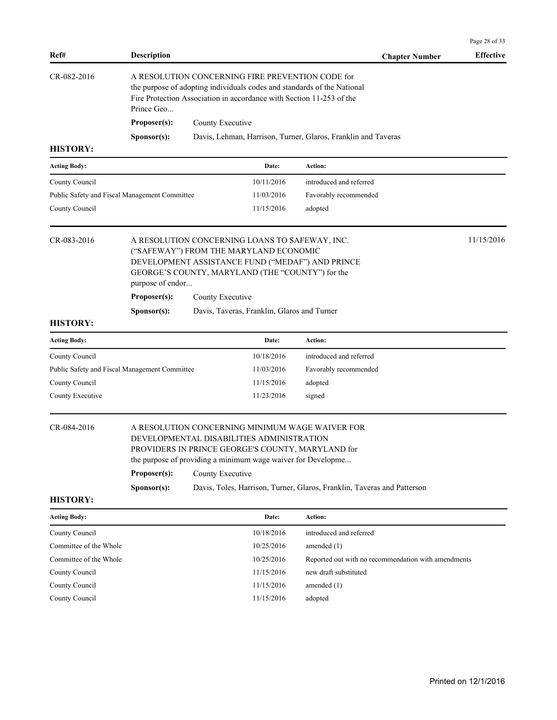| Ref#                                          | <b>Description</b>                                              |                                                                                                                                                                                                                |                                                                                                                                                                | <b>Chapter Number</b>                                                   | <b>Effective</b> |  |  |
|-----------------------------------------------|-----------------------------------------------------------------|----------------------------------------------------------------------------------------------------------------------------------------------------------------------------------------------------------------|----------------------------------------------------------------------------------------------------------------------------------------------------------------|-------------------------------------------------------------------------|------------------|--|--|
| CR-082-2016                                   | Prince Geo                                                      | A RESOLUTION CONCERNING FIRE PREVENTION CODE for<br>the purpose of adopting individuals codes and standards of the National<br>Fire Protection Association in accordance with Section 11-253 of the            |                                                                                                                                                                |                                                                         |                  |  |  |
|                                               | Proposer(s):                                                    | County Executive                                                                                                                                                                                               |                                                                                                                                                                |                                                                         |                  |  |  |
|                                               | Sponsor(s):                                                     |                                                                                                                                                                                                                |                                                                                                                                                                | Davis, Lehman, Harrison, Turner, Glaros, Franklin and Taveras           |                  |  |  |
| <b>HISTORY:</b>                               |                                                                 |                                                                                                                                                                                                                |                                                                                                                                                                |                                                                         |                  |  |  |
| <b>Acting Body:</b>                           |                                                                 |                                                                                                                                                                                                                | Date:                                                                                                                                                          | Action:                                                                 |                  |  |  |
| County Council                                |                                                                 |                                                                                                                                                                                                                | 10/11/2016                                                                                                                                                     | introduced and referred                                                 |                  |  |  |
| Public Safety and Fiscal Management Committee |                                                                 |                                                                                                                                                                                                                | 11/03/2016                                                                                                                                                     | Favorably recommended                                                   |                  |  |  |
| County Council                                |                                                                 |                                                                                                                                                                                                                | 11/15/2016                                                                                                                                                     | adopted                                                                 |                  |  |  |
| CR-083-2016                                   | purpose of endor                                                | 11/15/2016<br>A RESOLUTION CONCERNING LOANS TO SAFEWAY, INC.<br>("SAFEWAY") FROM THE MARYLAND ECONOMIC<br>DEVELOPMENT ASSISTANCE FUND ("MEDAF") AND PRINCE<br>GEORGE'S COUNTY, MARYLAND (THE "COUNTY") for the |                                                                                                                                                                |                                                                         |                  |  |  |
|                                               | Proposer(s):                                                    |                                                                                                                                                                                                                |                                                                                                                                                                |                                                                         |                  |  |  |
|                                               | County Executive<br>Davis, Taveras, Franklin, Glaros and Turner |                                                                                                                                                                                                                |                                                                                                                                                                |                                                                         |                  |  |  |
| <b>HISTORY:</b>                               | Sponsor(s):                                                     |                                                                                                                                                                                                                |                                                                                                                                                                |                                                                         |                  |  |  |
| <b>Acting Body:</b>                           |                                                                 |                                                                                                                                                                                                                | Date:                                                                                                                                                          | <b>Action:</b>                                                          |                  |  |  |
| County Council                                |                                                                 |                                                                                                                                                                                                                | 10/18/2016                                                                                                                                                     | introduced and referred                                                 |                  |  |  |
| Public Safety and Fiscal Management Committee |                                                                 |                                                                                                                                                                                                                | 11/03/2016                                                                                                                                                     | Favorably recommended                                                   |                  |  |  |
| County Council                                |                                                                 |                                                                                                                                                                                                                | 11/15/2016                                                                                                                                                     | adopted                                                                 |                  |  |  |
| County Executive                              |                                                                 |                                                                                                                                                                                                                | 11/23/2016                                                                                                                                                     | signed                                                                  |                  |  |  |
| CR-084-2016                                   | Proposer(s):                                                    | County Executive                                                                                                                                                                                               | DEVELOPMENTAL DISABILITIES ADMINISTRATION<br>PROVIDERS IN PRINCE GEORGE'S COUNTY, MARYLAND for<br>the purpose of providing a minimum wage waiver for Developme | A RESOLUTION CONCERNING MINIMUM WAGE WAIVER FOR                         |                  |  |  |
| <b>HISTORY:</b>                               | Sponsor(s):                                                     |                                                                                                                                                                                                                |                                                                                                                                                                | Davis, Toles, Harrison, Turner, Glaros, Franklin, Taveras and Patterson |                  |  |  |
|                                               |                                                                 |                                                                                                                                                                                                                |                                                                                                                                                                |                                                                         |                  |  |  |
| <b>Acting Body:</b>                           |                                                                 |                                                                                                                                                                                                                | Date:                                                                                                                                                          | Action:                                                                 |                  |  |  |
| County Council                                |                                                                 |                                                                                                                                                                                                                | 10/18/2016                                                                                                                                                     | introduced and referred                                                 |                  |  |  |
| Committee of the Whole                        |                                                                 |                                                                                                                                                                                                                | 10/25/2016                                                                                                                                                     | amended $(1)$                                                           |                  |  |  |
| Committee of the Whole                        |                                                                 |                                                                                                                                                                                                                | 10/25/2016                                                                                                                                                     | Reported out with no recommendation with amendments                     |                  |  |  |
| County Council                                |                                                                 |                                                                                                                                                                                                                | 11/15/2016                                                                                                                                                     | new draft substituted                                                   |                  |  |  |
| County Council                                |                                                                 |                                                                                                                                                                                                                | 11/15/2016                                                                                                                                                     | amended (1)                                                             |                  |  |  |
| County Council                                |                                                                 |                                                                                                                                                                                                                | 11/15/2016                                                                                                                                                     | adopted                                                                 |                  |  |  |
|                                               |                                                                 |                                                                                                                                                                                                                |                                                                                                                                                                |                                                                         |                  |  |  |

Page 28 of 33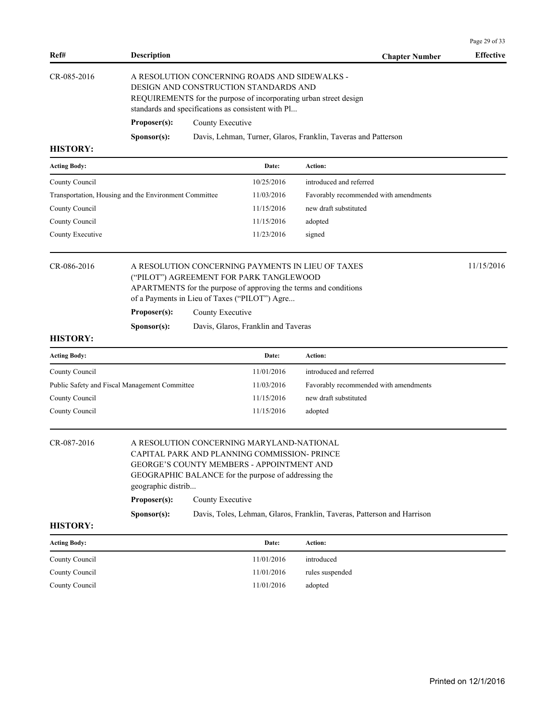|                     |                                                                                                                                                                                                                     |                                                                                                                                                                                                                                 |                                     |                                                                         | Page 29 of 33    |  |  |  |
|---------------------|---------------------------------------------------------------------------------------------------------------------------------------------------------------------------------------------------------------------|---------------------------------------------------------------------------------------------------------------------------------------------------------------------------------------------------------------------------------|-------------------------------------|-------------------------------------------------------------------------|------------------|--|--|--|
| Ref#                | <b>Description</b>                                                                                                                                                                                                  |                                                                                                                                                                                                                                 |                                     | <b>Chapter Number</b>                                                   | <b>Effective</b> |  |  |  |
| CR-085-2016         |                                                                                                                                                                                                                     | A RESOLUTION CONCERNING ROADS AND SIDEWALKS -<br>DESIGN AND CONSTRUCTION STANDARDS AND<br>REQUIREMENTS for the purpose of incorporating urban street design<br>standards and specifications as consistent with Pl               |                                     |                                                                         |                  |  |  |  |
|                     | Proposer(s):                                                                                                                                                                                                        | County Executive                                                                                                                                                                                                                |                                     |                                                                         |                  |  |  |  |
|                     | Sponsor(s):                                                                                                                                                                                                         |                                                                                                                                                                                                                                 |                                     | Davis, Lehman, Turner, Glaros, Franklin, Taveras and Patterson          |                  |  |  |  |
| <b>HISTORY:</b>     |                                                                                                                                                                                                                     |                                                                                                                                                                                                                                 |                                     |                                                                         |                  |  |  |  |
| <b>Acting Body:</b> |                                                                                                                                                                                                                     |                                                                                                                                                                                                                                 | Date:                               | Action:                                                                 |                  |  |  |  |
| County Council      |                                                                                                                                                                                                                     |                                                                                                                                                                                                                                 | 10/25/2016                          | introduced and referred                                                 |                  |  |  |  |
|                     | Transportation, Housing and the Environment Committee                                                                                                                                                               |                                                                                                                                                                                                                                 | 11/03/2016                          | Favorably recommended with amendments                                   |                  |  |  |  |
| County Council      |                                                                                                                                                                                                                     |                                                                                                                                                                                                                                 | 11/15/2016                          | new draft substituted                                                   |                  |  |  |  |
| County Council      |                                                                                                                                                                                                                     |                                                                                                                                                                                                                                 | 11/15/2016                          | adopted                                                                 |                  |  |  |  |
| County Executive    |                                                                                                                                                                                                                     |                                                                                                                                                                                                                                 | 11/23/2016                          | signed                                                                  |                  |  |  |  |
| CR-086-2016         |                                                                                                                                                                                                                     | 11/15/2016<br>A RESOLUTION CONCERNING PAYMENTS IN LIEU OF TAXES<br>("PILOT") AGREEMENT FOR PARK TANGLEWOOD<br>APARTMENTS for the purpose of approving the terms and conditions<br>of a Payments in Lieu of Taxes ("PILOT") Agre |                                     |                                                                         |                  |  |  |  |
|                     |                                                                                                                                                                                                                     | Proposer(s):<br>County Executive                                                                                                                                                                                                |                                     |                                                                         |                  |  |  |  |
|                     | Sponsor(s):                                                                                                                                                                                                         |                                                                                                                                                                                                                                 | Davis, Glaros, Franklin and Taveras |                                                                         |                  |  |  |  |
| <b>HISTORY:</b>     |                                                                                                                                                                                                                     |                                                                                                                                                                                                                                 |                                     |                                                                         |                  |  |  |  |
| <b>Acting Body:</b> |                                                                                                                                                                                                                     |                                                                                                                                                                                                                                 | Date:                               | Action:                                                                 |                  |  |  |  |
| County Council      |                                                                                                                                                                                                                     |                                                                                                                                                                                                                                 | 11/01/2016                          | introduced and referred                                                 |                  |  |  |  |
|                     | Public Safety and Fiscal Management Committee                                                                                                                                                                       |                                                                                                                                                                                                                                 | 11/03/2016                          | Favorably recommended with amendments                                   |                  |  |  |  |
| County Council      |                                                                                                                                                                                                                     |                                                                                                                                                                                                                                 | 11/15/2016                          | new draft substituted                                                   |                  |  |  |  |
| County Council      |                                                                                                                                                                                                                     |                                                                                                                                                                                                                                 | 11/15/2016                          | adopted                                                                 |                  |  |  |  |
| CR-087-2016         | A RESOLUTION CONCERNING MARYLAND-NATIONAL<br>CAPITAL PARK AND PLANNING COMMISSION-PRINCE<br>GEORGE'S COUNTY MEMBERS - APPOINTMENT AND<br>GEOGRAPHIC BALANCE for the purpose of addressing the<br>geographic distrib |                                                                                                                                                                                                                                 |                                     |                                                                         |                  |  |  |  |
|                     | Proposer(s):                                                                                                                                                                                                        | County Executive                                                                                                                                                                                                                |                                     |                                                                         |                  |  |  |  |
|                     | Sponsor(s):                                                                                                                                                                                                         |                                                                                                                                                                                                                                 |                                     | Davis, Toles, Lehman, Glaros, Franklin, Taveras, Patterson and Harrison |                  |  |  |  |
| <b>HISTORY:</b>     |                                                                                                                                                                                                                     |                                                                                                                                                                                                                                 |                                     |                                                                         |                  |  |  |  |
| <b>Acting Body:</b> |                                                                                                                                                                                                                     |                                                                                                                                                                                                                                 | Date:                               | Action:                                                                 |                  |  |  |  |
| County Council      |                                                                                                                                                                                                                     |                                                                                                                                                                                                                                 | 11/01/2016                          | introduced                                                              |                  |  |  |  |
| County Council      |                                                                                                                                                                                                                     |                                                                                                                                                                                                                                 | 11/01/2016                          | rules suspended                                                         |                  |  |  |  |
| County Council      |                                                                                                                                                                                                                     |                                                                                                                                                                                                                                 | 11/01/2016                          | adopted                                                                 |                  |  |  |  |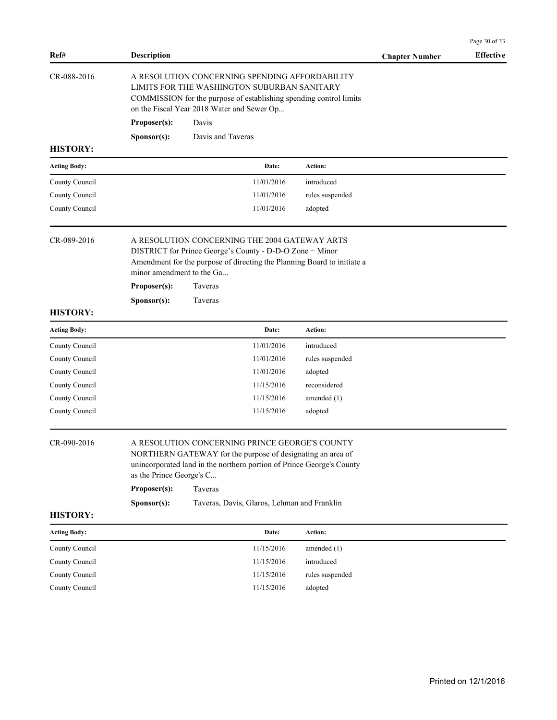| Ref#                | <b>Description</b>                                                                                                                                                                                                                           |                                                                                                                                                                                                                   |                 | <b>Chapter Number</b> | <b>Effective</b> |  |
|---------------------|----------------------------------------------------------------------------------------------------------------------------------------------------------------------------------------------------------------------------------------------|-------------------------------------------------------------------------------------------------------------------------------------------------------------------------------------------------------------------|-----------------|-----------------------|------------------|--|
| CR-088-2016         |                                                                                                                                                                                                                                              | A RESOLUTION CONCERNING SPENDING AFFORDABILITY<br>LIMITS FOR THE WASHINGTON SUBURBAN SANITARY<br>COMMISSION for the purpose of establishing spending control limits<br>on the Fiscal Year 2018 Water and Sewer Op |                 |                       |                  |  |
|                     | Proposer(s):                                                                                                                                                                                                                                 | Davis                                                                                                                                                                                                             |                 |                       |                  |  |
|                     | Sponsor(s):                                                                                                                                                                                                                                  | Davis and Taveras                                                                                                                                                                                                 |                 |                       |                  |  |
| <b>HISTORY:</b>     |                                                                                                                                                                                                                                              |                                                                                                                                                                                                                   |                 |                       |                  |  |
| <b>Acting Body:</b> |                                                                                                                                                                                                                                              | Date:                                                                                                                                                                                                             | Action:         |                       |                  |  |
| County Council      |                                                                                                                                                                                                                                              | 11/01/2016                                                                                                                                                                                                        | introduced      |                       |                  |  |
| County Council      |                                                                                                                                                                                                                                              | 11/01/2016                                                                                                                                                                                                        | rules suspended |                       |                  |  |
| County Council      |                                                                                                                                                                                                                                              | 11/01/2016                                                                                                                                                                                                        | adopted         |                       |                  |  |
| CR-089-2016         | A RESOLUTION CONCERNING THE 2004 GATEWAY ARTS<br>DISTRICT for Prince George's County - D-D-O Zone - Minor<br>Amendment for the purpose of directing the Planning Board to initiate a<br>minor amendment to the Ga<br>Proposer(s):<br>Taveras |                                                                                                                                                                                                                   |                 |                       |                  |  |
|                     | Sponsor(s):                                                                                                                                                                                                                                  | Taveras                                                                                                                                                                                                           |                 |                       |                  |  |
| <b>HISTORY:</b>     |                                                                                                                                                                                                                                              |                                                                                                                                                                                                                   |                 |                       |                  |  |
| <b>Acting Body:</b> |                                                                                                                                                                                                                                              | Date:                                                                                                                                                                                                             | Action:         |                       |                  |  |
| County Council      |                                                                                                                                                                                                                                              | 11/01/2016                                                                                                                                                                                                        | introduced      |                       |                  |  |
| County Council      |                                                                                                                                                                                                                                              | 11/01/2016                                                                                                                                                                                                        | rules suspended |                       |                  |  |
| County Council      |                                                                                                                                                                                                                                              | 11/01/2016                                                                                                                                                                                                        | adopted         |                       |                  |  |
| County Council      |                                                                                                                                                                                                                                              | 11/15/2016                                                                                                                                                                                                        | reconsidered    |                       |                  |  |
| County Council      |                                                                                                                                                                                                                                              | 11/15/2016                                                                                                                                                                                                        | amended $(1)$   |                       |                  |  |
| County Council      |                                                                                                                                                                                                                                              | 11/15/2016                                                                                                                                                                                                        | adopted         |                       |                  |  |
| CR-090-2016         | as the Prince George's C                                                                                                                                                                                                                     | A RESOLUTION CONCERNING PRINCE GEORGE'S COUNTY<br>NORTHERN GATEWAY for the purpose of designating an area of<br>unincorporated land in the northern portion of Prince George's County                             |                 |                       |                  |  |
|                     | Proposer(s):                                                                                                                                                                                                                                 | Taveras                                                                                                                                                                                                           |                 |                       |                  |  |
|                     | Sponsor(s):                                                                                                                                                                                                                                  | Taveras, Davis, Glaros, Lehman and Franklin                                                                                                                                                                       |                 |                       |                  |  |
| <b>HISTORY:</b>     |                                                                                                                                                                                                                                              |                                                                                                                                                                                                                   |                 |                       |                  |  |
| <b>Acting Body:</b> |                                                                                                                                                                                                                                              | Date:                                                                                                                                                                                                             | Action:         |                       |                  |  |
| County Council      |                                                                                                                                                                                                                                              | 11/15/2016                                                                                                                                                                                                        | amended $(1)$   |                       |                  |  |
| County Council      |                                                                                                                                                                                                                                              | 11/15/2016                                                                                                                                                                                                        | introduced      |                       |                  |  |
| County Council      |                                                                                                                                                                                                                                              | 11/15/2016                                                                                                                                                                                                        | rules suspended |                       |                  |  |
| County Council      |                                                                                                                                                                                                                                              | 11/15/2016                                                                                                                                                                                                        | adopted         |                       |                  |  |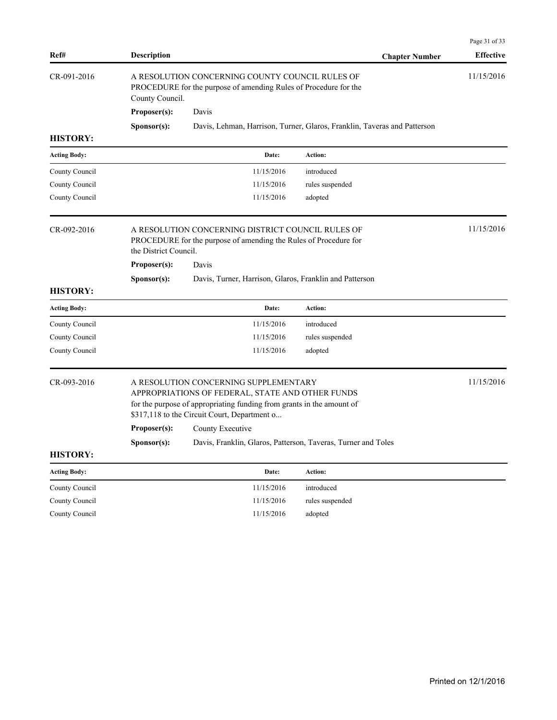|                     |                                                                                                                                                                                                                                                        |                                                                                                                       |                                                                          | Page 31 of 33    |  |  |
|---------------------|--------------------------------------------------------------------------------------------------------------------------------------------------------------------------------------------------------------------------------------------------------|-----------------------------------------------------------------------------------------------------------------------|--------------------------------------------------------------------------|------------------|--|--|
| Ref#                | <b>Description</b>                                                                                                                                                                                                                                     |                                                                                                                       | <b>Chapter Number</b>                                                    | <b>Effective</b> |  |  |
| CR-091-2016         | County Council.                                                                                                                                                                                                                                        | A RESOLUTION CONCERNING COUNTY COUNCIL RULES OF<br>PROCEDURE for the purpose of amending Rules of Procedure for the   |                                                                          |                  |  |  |
|                     | Proposer(s):                                                                                                                                                                                                                                           | Davis                                                                                                                 |                                                                          |                  |  |  |
|                     | Sponsor(s):                                                                                                                                                                                                                                            |                                                                                                                       | Davis, Lehman, Harrison, Turner, Glaros, Franklin, Taveras and Patterson |                  |  |  |
| <b>HISTORY:</b>     |                                                                                                                                                                                                                                                        |                                                                                                                       |                                                                          |                  |  |  |
| <b>Acting Body:</b> |                                                                                                                                                                                                                                                        | Date:                                                                                                                 | Action:                                                                  |                  |  |  |
| County Council      |                                                                                                                                                                                                                                                        | 11/15/2016                                                                                                            | introduced                                                               |                  |  |  |
| County Council      |                                                                                                                                                                                                                                                        | 11/15/2016                                                                                                            | rules suspended                                                          |                  |  |  |
| County Council      |                                                                                                                                                                                                                                                        | 11/15/2016                                                                                                            | adopted                                                                  |                  |  |  |
| CR-092-2016         | the District Council.                                                                                                                                                                                                                                  | A RESOLUTION CONCERNING DISTRICT COUNCIL RULES OF<br>PROCEDURE for the purpose of amending the Rules of Procedure for |                                                                          | 11/15/2016       |  |  |
|                     | Proposer(s):                                                                                                                                                                                                                                           | Davis                                                                                                                 |                                                                          |                  |  |  |
|                     | Sponsor(s):                                                                                                                                                                                                                                            | Davis, Turner, Harrison, Glaros, Franklin and Patterson                                                               |                                                                          |                  |  |  |
| <b>HISTORY:</b>     |                                                                                                                                                                                                                                                        |                                                                                                                       |                                                                          |                  |  |  |
| <b>Acting Body:</b> |                                                                                                                                                                                                                                                        | Date:                                                                                                                 | Action:                                                                  |                  |  |  |
| County Council      |                                                                                                                                                                                                                                                        | 11/15/2016                                                                                                            | introduced                                                               |                  |  |  |
| County Council      |                                                                                                                                                                                                                                                        | 11/15/2016                                                                                                            | rules suspended                                                          |                  |  |  |
| County Council      |                                                                                                                                                                                                                                                        | 11/15/2016                                                                                                            | adopted                                                                  |                  |  |  |
| CR-093-2016         | A RESOLUTION CONCERNING SUPPLEMENTARY<br>APPROPRIATIONS OF FEDERAL, STATE AND OTHER FUNDS<br>for the purpose of appropriating funding from grants in the amount of<br>\$317,118 to the Circuit Court, Department o<br>County Executive<br>Proposer(s): |                                                                                                                       |                                                                          |                  |  |  |
|                     | Sponsor(s):                                                                                                                                                                                                                                            | Davis, Franklin, Glaros, Patterson, Taveras, Turner and Toles                                                         |                                                                          |                  |  |  |
| <b>HISTORY:</b>     |                                                                                                                                                                                                                                                        |                                                                                                                       |                                                                          |                  |  |  |
| <b>Acting Body:</b> |                                                                                                                                                                                                                                                        | Date:                                                                                                                 | Action:                                                                  |                  |  |  |
| County Council      |                                                                                                                                                                                                                                                        | 11/15/2016                                                                                                            | introduced                                                               |                  |  |  |
| County Council      |                                                                                                                                                                                                                                                        | 11/15/2016                                                                                                            | rules suspended                                                          |                  |  |  |
| County Council      |                                                                                                                                                                                                                                                        | 11/15/2016                                                                                                            | adopted                                                                  |                  |  |  |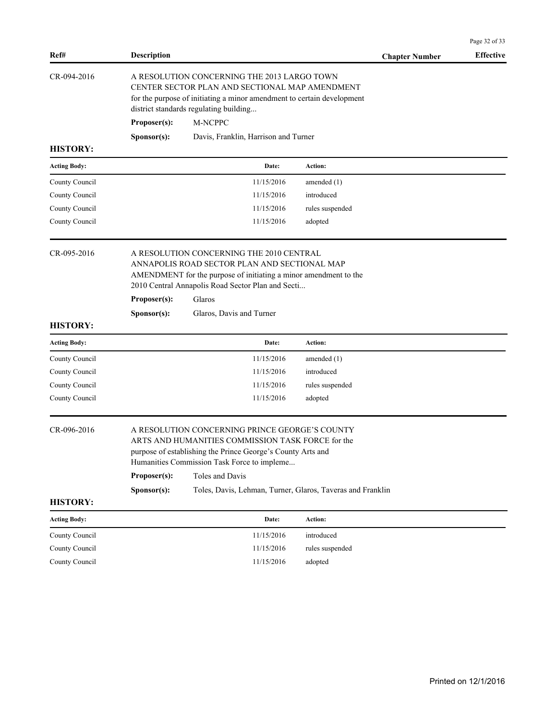|                                |                                                                                                                                                                                                                                                                                                                                   |                                                                                                                                                                                                                                                         |                 |                       | Page 32 of 33    |  |
|--------------------------------|-----------------------------------------------------------------------------------------------------------------------------------------------------------------------------------------------------------------------------------------------------------------------------------------------------------------------------------|---------------------------------------------------------------------------------------------------------------------------------------------------------------------------------------------------------------------------------------------------------|-----------------|-----------------------|------------------|--|
| Ref#                           | <b>Description</b>                                                                                                                                                                                                                                                                                                                |                                                                                                                                                                                                                                                         |                 | <b>Chapter Number</b> | <b>Effective</b> |  |
| CR-094-2016<br><b>HISTORY:</b> | A RESOLUTION CONCERNING THE 2013 LARGO TOWN<br>CENTER SECTOR PLAN AND SECTIONAL MAP AMENDMENT<br>for the purpose of initiating a minor amendment to certain development<br>district standards regulating building<br>Proposer(s):<br>M-NCPPC<br>Sponsor(s):<br>Davis, Franklin, Harrison and Turner                               |                                                                                                                                                                                                                                                         |                 |                       |                  |  |
| <b>Acting Body:</b>            |                                                                                                                                                                                                                                                                                                                                   | Date:                                                                                                                                                                                                                                                   | Action:         |                       |                  |  |
| County Council                 |                                                                                                                                                                                                                                                                                                                                   | 11/15/2016                                                                                                                                                                                                                                              | amended (1)     |                       |                  |  |
| County Council                 |                                                                                                                                                                                                                                                                                                                                   | 11/15/2016                                                                                                                                                                                                                                              | introduced      |                       |                  |  |
| County Council                 |                                                                                                                                                                                                                                                                                                                                   | 11/15/2016                                                                                                                                                                                                                                              | rules suspended |                       |                  |  |
| County Council                 |                                                                                                                                                                                                                                                                                                                                   | 11/15/2016                                                                                                                                                                                                                                              | adopted         |                       |                  |  |
| CR-095-2016<br><b>HISTORY:</b> | Proposer(s):<br>Sponsor(s):                                                                                                                                                                                                                                                                                                       | A RESOLUTION CONCERNING THE 2010 CENTRAL<br>ANNAPOLIS ROAD SECTOR PLAN AND SECTIONAL MAP<br>AMENDMENT for the purpose of initiating a minor amendment to the<br>2010 Central Annapolis Road Sector Plan and Secti<br>Glaros<br>Glaros, Davis and Turner |                 |                       |                  |  |
| <b>Acting Body:</b>            |                                                                                                                                                                                                                                                                                                                                   | Date:                                                                                                                                                                                                                                                   | Action:         |                       |                  |  |
| County Council                 |                                                                                                                                                                                                                                                                                                                                   | 11/15/2016                                                                                                                                                                                                                                              | amended $(1)$   |                       |                  |  |
| County Council                 |                                                                                                                                                                                                                                                                                                                                   | 11/15/2016                                                                                                                                                                                                                                              | introduced      |                       |                  |  |
| County Council                 |                                                                                                                                                                                                                                                                                                                                   | 11/15/2016                                                                                                                                                                                                                                              | rules suspended |                       |                  |  |
| County Council                 |                                                                                                                                                                                                                                                                                                                                   | 11/15/2016                                                                                                                                                                                                                                              | adopted         |                       |                  |  |
| CR-096-2016<br><b>HISTORY:</b> | A RESOLUTION CONCERNING PRINCE GEORGE'S COUNTY<br>ARTS AND HUMANITIES COMMISSION TASK FORCE for the<br>purpose of establishing the Prince George's County Arts and<br>Humanities Commission Task Force to impleme<br>Toles and Davis<br>Proposer(s):<br>Toles, Davis, Lehman, Turner, Glaros, Taveras and Franklin<br>Sponsor(s): |                                                                                                                                                                                                                                                         |                 |                       |                  |  |
| <b>Acting Body:</b>            |                                                                                                                                                                                                                                                                                                                                   | Date:                                                                                                                                                                                                                                                   | Action:         |                       |                  |  |
| County Council                 |                                                                                                                                                                                                                                                                                                                                   | 11/15/2016                                                                                                                                                                                                                                              | introduced      |                       |                  |  |
| County Council                 |                                                                                                                                                                                                                                                                                                                                   | 11/15/2016                                                                                                                                                                                                                                              | rules suspended |                       |                  |  |
| County Council                 |                                                                                                                                                                                                                                                                                                                                   | 11/15/2016                                                                                                                                                                                                                                              | adopted         |                       |                  |  |